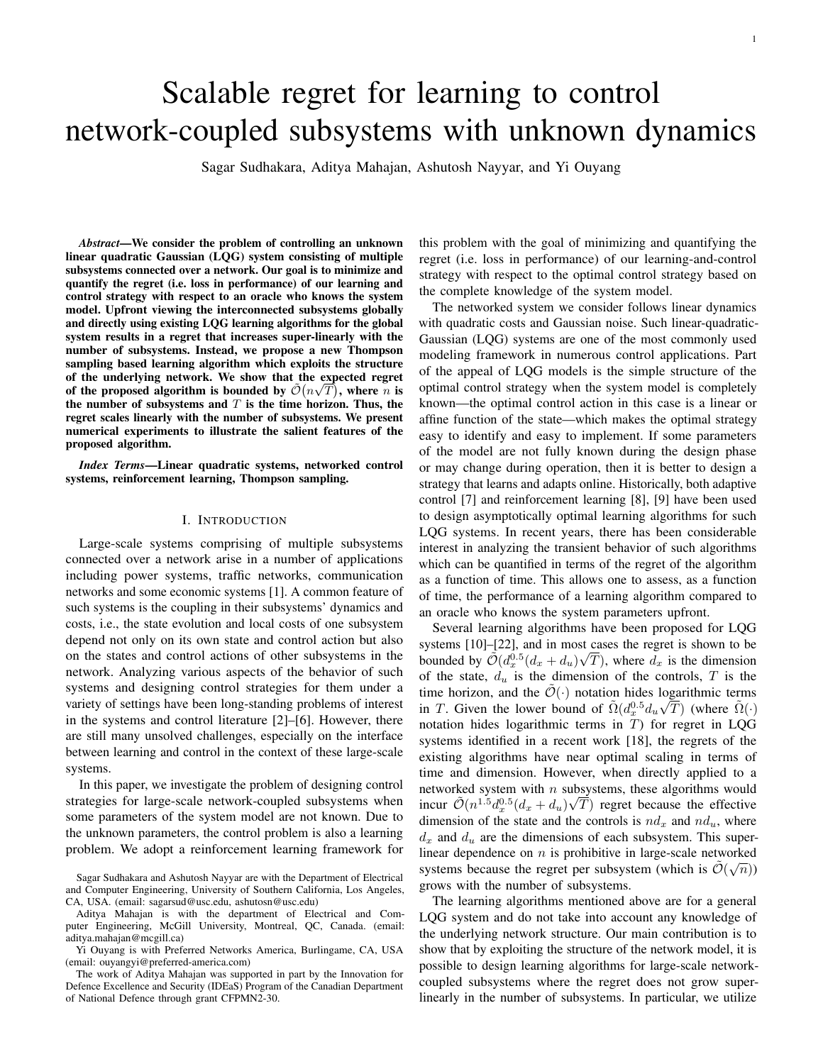# Scalable regret for learning to control network-coupled subsystems with unknown dynamics

Sagar Sudhakara, Aditya Mahajan, Ashutosh Nayyar, and Yi Ouyang

*Abstract*—We consider the problem of controlling an unknown linear quadratic Gaussian (LQG) system consisting of multiple subsystems connected over a network. Our goal is to minimize and quantify the regret (i.e. loss in performance) of our learning and control strategy with respect to an oracle who knows the system model. Upfront viewing the interconnected subsystems globally and directly using existing LQG learning algorithms for the global system results in a regret that increases super-linearly with the number of subsystems. Instead, we propose a new Thompson sampling based learning algorithm which exploits the structure of the underlying network. We show that the expected regret of the proposed algorithm is bounded by  $\tilde{\mathcal{O}}(n\sqrt{T})$ , where  $n$  is the number of subsystems and  $T$  is the time horizon. Thus, the regret scales linearly with the number of subsystems. We present numerical experiments to illustrate the salient features of the proposed algorithm.

*Index Terms*—Linear quadratic systems, networked control systems, reinforcement learning, Thompson sampling.

#### I. INTRODUCTION

Large-scale systems comprising of multiple subsystems connected over a network arise in a number of applications including power systems, traffic networks, communication networks and some economic systems [1]. A common feature of such systems is the coupling in their subsystems' dynamics and costs, i.e., the state evolution and local costs of one subsystem depend not only on its own state and control action but also on the states and control actions of other subsystems in the network. Analyzing various aspects of the behavior of such systems and designing control strategies for them under a variety of settings have been long-standing problems of interest in the systems and control literature [2]–[6]. However, there are still many unsolved challenges, especially on the interface between learning and control in the context of these large-scale systems.

In this paper, we investigate the problem of designing control strategies for large-scale network-coupled subsystems when some parameters of the system model are not known. Due to the unknown parameters, the control problem is also a learning problem. We adopt a reinforcement learning framework for this problem with the goal of minimizing and quantifying the regret (i.e. loss in performance) of our learning-and-control strategy with respect to the optimal control strategy based on the complete knowledge of the system model.

The networked system we consider follows linear dynamics with quadratic costs and Gaussian noise. Such linear-quadratic-Gaussian (LQG) systems are one of the most commonly used modeling framework in numerous control applications. Part of the appeal of LQG models is the simple structure of the optimal control strategy when the system model is completely known—the optimal control action in this case is a linear or affine function of the state—which makes the optimal strategy easy to identify and easy to implement. If some parameters of the model are not fully known during the design phase or may change during operation, then it is better to design a strategy that learns and adapts online. Historically, both adaptive control [7] and reinforcement learning [8], [9] have been used to design asymptotically optimal learning algorithms for such LQG systems. In recent years, there has been considerable interest in analyzing the transient behavior of such algorithms which can be quantified in terms of the regret of the algorithm as a function of time. This allows one to assess, as a function of time, the performance of a learning algorithm compared to an oracle who knows the system parameters upfront.

Several learning algorithms have been proposed for LQG systems [10]–[22], and in most cases the regret is shown to be bounded by  $\tilde{\mathcal{O}}(d_x^{0.5}(d_x + d_u)\sqrt{T})$ , where  $d_x$  is the dimension of the state,  $d_u$  is the dimension of the controls, T is the time horizon, and the  $\tilde{\mathcal{O}}(\cdot)$  notation hides logarithmic terms in T. Given the lower bound of  $\tilde{\Omega} (d_x^{0.5} d_u \sqrt{T})$  (where  $\tilde{\Omega}(\cdot)$ ) notation hides logarithmic terms in  $T$ ) for regret in LQG systems identified in a recent work [18], the regrets of the existing algorithms have near optimal scaling in terms of time and dimension. However, when directly applied to a networked system with *n* subsystems, these algorithms would incur  $\tilde{\mathcal{O}}(n^{1.5}d_x^{0.5}(d_x+d_u)\sqrt{T})$  regret because the effective dimension of the state and the controls is  $nd_x$  and  $nd_u$ , where  $d_x$  and  $d_y$  are the dimensions of each subsystem. This superlinear dependence on *n* is prohibitive in large-scale networked systems because the regret per subsystem (which is  $\tilde{\mathcal{O}}(\sqrt{n})$ ) grows with the number of subsystems.

The learning algorithms mentioned above are for a general LQG system and do not take into account any knowledge of the underlying network structure. Our main contribution is to show that by exploiting the structure of the network model, it is possible to design learning algorithms for large-scale networkcoupled subsystems where the regret does not grow superlinearly in the number of subsystems. In particular, we utilize

Sagar Sudhakara and Ashutosh Nayyar are with the Department of Electrical and Computer Engineering, University of Southern California, Los Angeles, CA, USA. (email: sagarsud@usc.edu, ashutosn@usc.edu)

Aditya Mahajan is with the department of Electrical and Computer Engineering, McGill University, Montreal, QC, Canada. (email: aditya.mahajan@mcgill.ca)

Yi Ouyang is with Preferred Networks America, Burlingame, CA, USA (email: ouyangyi@preferred-america.com)

The work of Aditya Mahajan was supported in part by the Innovation for Defence Excellence and Security (IDEaS) Program of the Canadian Department of National Defence through grant CFPMN2-30.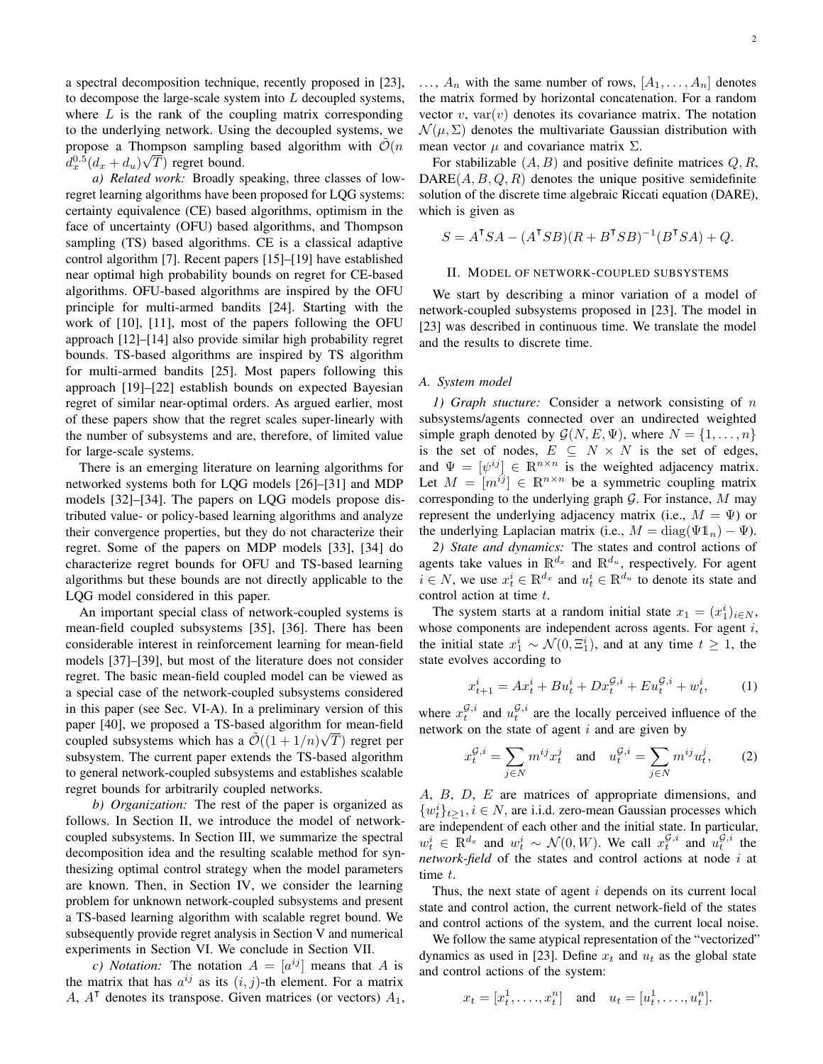a spectral decomposition technique, recently proposed in [23], to decompose the large-scale system into  $L$  decoupled systems, where  $L$  is the rank of the coupling matrix corresponding to the underlying network. Using the decoupled systems, we propose a Thompson sampling based algorithm with  $\tilde{\mathcal{O}}(n)$  $d_x^{0.5}(d_x + d_u)\sqrt{T})$  regret bound.

*a) Related work:* Broadly speaking, three classes of lowregret learning algorithms have been proposed for LQG systems: certainty equivalence (CE) based algorithms, optimism in the face of uncertainty (OFU) based algorithms, and Thompson sampling (TS) based algorithms. CE is a classical adaptive control algorithm [7]. Recent papers [15]–[19] have established near optimal high probability bounds on regret for CE-based algorithms. OFU-based algorithms are inspired by the OFU principle for multi-armed bandits [24]. Starting with the work of [10], [11], most of the papers following the OFU approach [12]–[14] also provide similar high probability regret bounds. TS-based algorithms are inspired by TS algorithm for multi-armed bandits [25]. Most papers following this approach [19]–[22] establish bounds on expected Bayesian regret of similar near-optimal orders. As argued earlier, most of these papers show that the regret scales super-linearly with the number of subsystems and are, therefore, of limited value for large-scale systems.

There is an emerging literature on learning algorithms for networked systems both for LQG models [26]–[31] and MDP models [32]–[34]. The papers on LQG models propose distributed value- or policy-based learning algorithms and analyze their convergence properties, but they do not characterize their regret. Some of the papers on MDP models [33], [34] do characterize regret bounds for OFU and TS-based learning algorithms but these bounds are not directly applicable to the LQG model considered in this paper.

An important special class of network-coupled systems is mean-field coupled subsystems [35], [36]. There has been considerable interest in reinforcement learning for mean-field models [37]–[39], but most of the literature does not consider regret. The basic mean-field coupled model can be viewed as a special case of the network-coupled subsystems considered in this paper (see Sec. VI-A). In a preliminary version of this paper [40], we proposed a TS-based algorithm for mean-field coupled subsystems which has a  $\mathcal{O}((1+1/n)\sqrt{T})$  regret per subsystem. The current paper extends the TS-based algorithm to general network-coupled subsystems and establishes scalable regret bounds for arbitrarily coupled networks.

*b) Organization:* The rest of the paper is organized as follows. In Section II, we introduce the model of networkcoupled subsystems. In Section III, we summarize the spectral decomposition idea and the resulting scalable method for synthesizing optimal control strategy when the model parameters are known. Then, in Section IV, we consider the learning problem for unknown network-coupled subsystems and present a TS-based learning algorithm with scalable regret bound. We subsequently provide regret analysis in Section V and numerical experiments in Section VI. We conclude in Section VII.

*c*) *Notation:* The notation  $A = [a^{ij}]$  means that A is the matrix that has  $a^{ij}$  as its  $(i, j)$ -th element. For a matrix A,  $A^{\dagger}$  denotes its transpose. Given matrices (or vectors)  $A_1$ ,

 $\ldots$ ,  $A_n$  with the same number of rows,  $[A_1, \ldots, A_n]$  denotes the matrix formed by horizontal concatenation. For a random vector  $v$ , var $(v)$  denotes its covariance matrix. The notation  $\mathcal{N}(\mu, \Sigma)$  denotes the multivariate Gaussian distribution with mean vector  $\mu$  and covariance matrix  $\Sigma$ .

For stabilizable  $(A, B)$  and positive definite matrices  $Q, R$ ,  $DARE(A, B, Q, R)$  denotes the unique positive semidefinite solution of the discrete time algebraic Riccati equation (DARE), which is given as

$$
S = A^{\mathsf{T}} S A - (A^{\mathsf{T}} S B)(R + B^{\mathsf{T}} S B)^{-1} (B^{\mathsf{T}} S A) + Q.
$$

# II. MODEL OF NETWORK-COUPLED SUBSYSTEMS

We start by describing a minor variation of a model of network-coupled subsystems proposed in [23]. The model in [23] was described in continuous time. We translate the model and the results to discrete time.

#### *A. System model*

*1) Graph stucture:* Consider a network consisting of n subsystems/agents connected over an undirected weighted simple graph denoted by  $\mathcal{G}(N, E, \Psi)$ , where  $N = \{1, \dots, n\}$ is the set of nodes,  $E \subseteq N \times N$  is the set of edges, and  $\Psi = [\psi^{ij}] \in \mathbb{R}^{n \times n}$  is the weighted adjacency matrix. Let  $M = [m^{ij}] \in \mathbb{R}^{n \times n}$  be a symmetric coupling matrix corresponding to the underlying graph  $\mathcal G$ . For instance,  $M$  may represent the underlying adjacency matrix (i.e.,  $M = \Psi$ ) or the underlying Laplacian matrix (i.e.,  $M = \text{diag}(\Psi \mathbb{1}_n) - \Psi$ ).

*2) State and dynamics:* The states and control actions of agents take values in  $\mathbb{R}^{d_x}$  and  $\mathbb{R}^{d_u}$ , respectively. For agent  $i \in N$ , we use  $x_t^i \in \mathbb{R}^{d_x}$  and  $u_t^i \in \mathbb{R}^{d_u}$  to denote its state and control action at time t.

The system starts at a random initial state  $x_1 = (x_1^i)_{i \in N}$ , whose components are independent across agents. For agent  $i$ , the initial state  $x_1^i \sim \mathcal{N}(0, \Xi_1^i)$ , and at any time  $t \geq 1$ , the state evolves according to

$$
x_{t+1}^i = Ax_t^i + Bu_t^i + Dx_t^{\mathcal{G},i} + Eu_t^{\mathcal{G},i} + w_t^i,
$$
 (1)

where  $x_t^{\mathcal{G},i}$  and  $u_t^{\mathcal{G},i}$  are the locally perceived influence of the network on the state of agent  $i$  and are given by

$$
x_t^{\mathcal{G},i} = \sum_{j \in N} m^{ij} x_t^j \quad \text{and} \quad u_t^{\mathcal{G},i} = \sum_{j \in N} m^{ij} u_t^j, \tag{2}
$$

A, B, D, E are matrices of appropriate dimensions, and  ${w_t^i}_{t\geq 1, i}$  ∈ N, are i.i.d. zero-mean Gaussian processes which are independent of each other and the initial state. In particular,  $w_t^i \in \mathbb{R}^{d_x}$  and  $w_t^i \sim \mathcal{N}(0, W)$ . We call  $x_t^{\mathcal{G}, i}$  and  $u_t^{\mathcal{G}, i}$  the *network-field* of the states and control actions at node i at time t.

Thus, the next state of agent  $i$  depends on its current local state and control action, the current network-field of the states and control actions of the system, and the current local noise.

We follow the same atypical representation of the "vectorized" dynamics as used in [23]. Define  $x_t$  and  $u_t$  as the global state and control actions of the system:

$$
x_t = [x_t^1, \ldots, x_t^n]
$$
 and  $u_t = [u_t^1, \ldots, u_t^n]$ .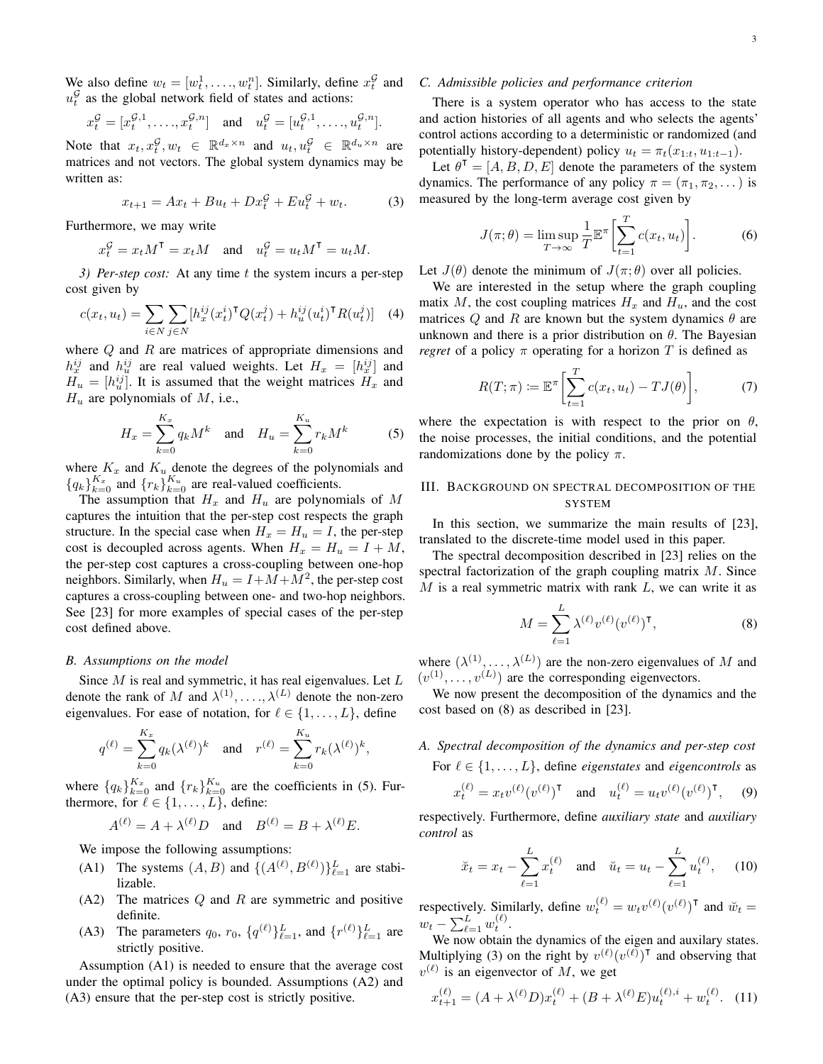We also define  $w_t = [w_t^1, \dots, w_t^n]$ . Similarly, define  $x_t^{\mathcal{G}}$  and  $u_t^{\mathcal{G}}$  as the global network field of states and actions:

$$
x_t^{\mathcal{G}} = [x_t^{\mathcal{G},1}, \dots, x_t^{\mathcal{G},n}] \quad \text{and} \quad u_t^{\mathcal{G}} = [u_t^{\mathcal{G},1}, \dots, u_t^{\mathcal{G},n}].
$$

Note that  $x_t, x_t^{\mathcal{G}}, w_t \in \mathbb{R}^{d_x \times n}$  and  $u_t, u_t^{\mathcal{G}} \in \mathbb{R}^{d_u \times n}$  are matrices and not vectors. The global system dynamics may be written as:

$$
x_{t+1} = Ax_t + Bu_t + Dx_t^{\mathcal{G}} + Eu_t^{\mathcal{G}} + w_t.
$$
 (3)

Furthermore, we may write

$$
x_t^{\mathcal{G}} = x_t M^{\mathsf{T}} = x_t M \quad \text{and} \quad u_t^{\mathcal{G}} = u_t M^{\mathsf{T}} = u_t M.
$$

*3) Per-step cost:* At any time t the system incurs a per-step cost given by

$$
c(x_t, u_t) = \sum_{i \in N} \sum_{j \in N} [h_x^{ij}(x_t^i)^\mathsf{T} Q(x_t^j) + h_u^{ij}(u_t^i)^\mathsf{T} R(u_t^j)] \quad (4)
$$

where  $Q$  and  $R$  are matrices of appropriate dimensions and  $h_x^{ij}$  and  $h_u^{ij}$  are real valued weights. Let  $H_x = [h_x^{ij}]$  and  $H_u = [h_u^{ij}]$ . It is assumed that the weight matrices  $H_x$  and  $H_u$  are polynomials of  $M$ , i.e.,

$$
H_x = \sum_{k=0}^{K_x} q_k M^k \quad \text{and} \quad H_u = \sum_{k=0}^{K_u} r_k M^k \tag{5}
$$

where  $K_x$  and  $K_u$  denote the degrees of the polynomials and  ${q_k}_{k=0}^{K_x}$  and  ${r_k}_{k=0}^{K_u}$  are real-valued coefficients.

The assumption that  $H_x$  and  $H_y$  are polynomials of M captures the intuition that the per-step cost respects the graph structure. In the special case when  $H_x = H_u = I$ , the per-step cost is decoupled across agents. When  $H_x = H_u = I + M$ , the per-step cost captures a cross-coupling between one-hop neighbors. Similarly, when  $H_u = I + M + M^2$ , the per-step cost captures a cross-coupling between one- and two-hop neighbors. See [23] for more examples of special cases of the per-step cost defined above.

### *B. Assumptions on the model*

Since  $M$  is real and symmetric, it has real eigenvalues. Let  $L$ denote the rank of M and  $\lambda^{(1)}, \ldots, \lambda^{(L)}$  denote the non-zero eigenvalues. For ease of notation, for  $\ell \in \{1, \ldots, L\}$ , define

$$
q^{(\ell)} = \sum_{k=0}^{K_x} q_k(\lambda^{(\ell)})^k
$$
 and  $r^{(\ell)} = \sum_{k=0}^{K_u} r_k(\lambda^{(\ell)})^k$ ,

where  ${q_k}_{k=0}^{K_x}$  and  ${r_k}_{k=0}^{K_u}$  are the coefficients in (5). Furthermore, for  $\ell \in \{1, \ldots, L\}$ , define:

$$
A^{(\ell)} = A + \lambda^{(\ell)} D \quad \text{and} \quad B^{(\ell)} = B + \lambda^{(\ell)} E.
$$

We impose the following assumptions:

- (A1) The systems  $(A, B)$  and  $\{(A^{(\ell)}, B^{(\ell)})\}_{\ell=1}^L$  are stabilizable.
- $(A2)$  The matrices  $Q$  and  $R$  are symmetric and positive definite.
- (A3) The parameters  $q_0$ ,  $r_0$ ,  $\{q^{(\ell)}\}_{\ell=1}^L$ , and  $\{r^{(\ell)}\}_{\ell=1}^L$  are strictly positive.

Assumption (A1) is needed to ensure that the average cost under the optimal policy is bounded. Assumptions (A2) and (A3) ensure that the per-step cost is strictly positive.

# *C. Admissible policies and performance criterion*

There is a system operator who has access to the state and action histories of all agents and who selects the agents' control actions according to a deterministic or randomized (and potentially history-dependent) policy  $u_t = \pi_t(x_{1:t}, u_{1:t-1})$ .

Let  $\theta^{\mathsf{T}} = [A, B, D, E]$  denote the parameters of the system dynamics. The performance of any policy  $\pi = (\pi_1, \pi_2, \dots)$  is measured by the long-term average cost given by

$$
J(\pi; \theta) = \limsup_{T \to \infty} \frac{1}{T} \mathbb{E}^{\pi} \left[ \sum_{t=1}^{T} c(x_t, u_t) \right].
$$
 (6)

Let  $J(\theta)$  denote the minimum of  $J(\pi;\theta)$  over all policies.

We are interested in the setup where the graph coupling matix M, the cost coupling matrices  $H_x$  and  $H_y$ , and the cost matrices Q and R are known but the system dynamics  $\theta$  are unknown and there is a prior distribution on  $\theta$ . The Bayesian *regret* of a policy  $\pi$  operating for a horizon T is defined as

$$
R(T; \pi) \coloneqq \mathbb{E}^{\pi} \bigg[ \sum_{t=1}^{T} c(x_t, u_t) - TJ(\theta) \bigg], \tag{7}
$$

where the expectation is with respect to the prior on  $\theta$ , the noise processes, the initial conditions, and the potential randomizations done by the policy  $\pi$ .

# III. BACKGROUND ON SPECTRAL DECOMPOSITION OF THE SYSTEM

In this section, we summarize the main results of [23], translated to the discrete-time model used in this paper.

The spectral decomposition described in [23] relies on the spectral factorization of the graph coupling matrix M. Since  $M$  is a real symmetric matrix with rank  $L$ , we can write it as

$$
M = \sum_{\ell=1}^{L} \lambda^{(\ell)} v^{(\ell)} (v^{(\ell)})^{\mathsf{T}}, \tag{8}
$$

where  $(\lambda^{(1)}, \ldots, \lambda^{(L)})$  are the non-zero eigenvalues of M and  $(v^{(1)}, \ldots, v^{(L)})$  are the corresponding eigenvectors.

We now present the decomposition of the dynamics and the cost based on (8) as described in [23].

# *A. Spectral decomposition of the dynamics and per-step cost* For  $\ell \in \{1, \ldots, L\}$ , define *eigenstates* and *eigencontrols* as

$$
x_t^{(\ell)} = x_t v^{(\ell)} (v^{(\ell)})^{\mathsf{T}}
$$
 and  $u_t^{(\ell)} = u_t v^{(\ell)} (v^{(\ell)})^{\mathsf{T}}$ , (9)

respectively. Furthermore, define *auxiliary state* and *auxiliary control* as

$$
\breve{x}_t = x_t - \sum_{\ell=1}^L x_t^{(\ell)}
$$
 and  $\breve{u}_t = u_t - \sum_{\ell=1}^L u_t^{(\ell)}$ , (10)

respectively. Similarly, define  $w_t^{(\ell)} = w_t v^{(\ell)} (v^{(\ell)})^\intercal$  and  $\breve{w}_t =$  $w_t - \sum_{\ell=1}^L w_t^{(\ell)}.$ 

We now obtain the dynamics of the eigen and auxilary states. Multiplying (3) on the right by  $v^{(\ell)}(v^{(\ell)})^{\dagger}$  and observing that  $v^{(\ell)}$  is an eigenvector of M, we get

$$
x_{t+1}^{(\ell)} = (A + \lambda^{(\ell)} D) x_t^{(\ell)} + (B + \lambda^{(\ell)} E) u_t^{(\ell), i} + w_t^{(\ell)}.
$$
 (11)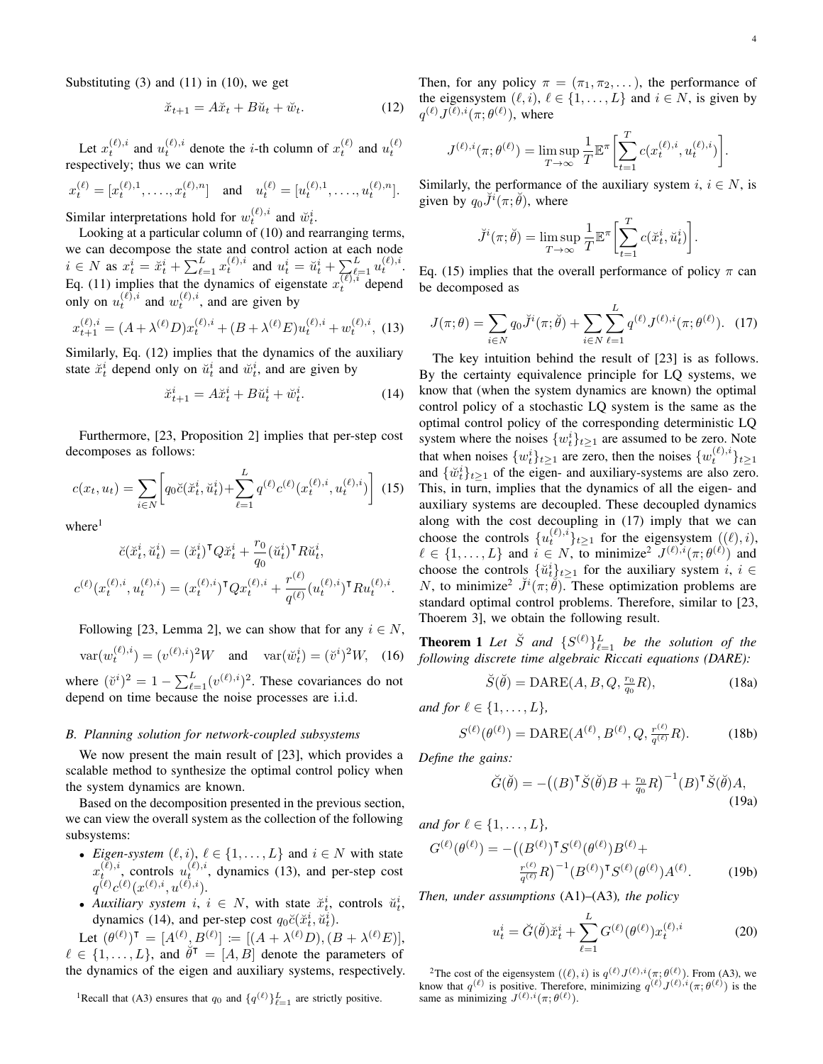$$
\breve{x}_{t+1} = A\breve{x}_t + B\breve{u}_t + \breve{w}_t. \tag{12}
$$

Let  $x_t^{(\ell),i}$  and  $u_t^{(\ell),i}$  denote the *i*-th column of  $x_t^{(\ell)}$  and  $u_t^{(\ell)}$ respectively; thus we can write

$$
x_t^{(\ell)} = [x_t^{(\ell),1}, \dots, x_t^{(\ell),n}] \quad \text{and} \quad u_t^{(\ell)} = [u_t^{(\ell),1}, \dots, u_t^{(\ell),n}].
$$

Similar interpretations hold for  $w_t^{(\ell),i}$  and  $\breve{w}_t^{i}$ .

Looking at a particular column of (10) and rearranging terms, we can decompose the state and control action at each node  $i \in N$  as  $x_t^i = \breve{x}_t^i + \sum_{\ell=1}^L x_t^{(\ell),i}$  and  $u_t^i = \breve{u}_t^i + \sum_{\ell=1}^L u_t^{(\ell),i}$ . Eq. (11) implies that the dynamics of eigenstate  $x_t^{(\ell),i}$  depend only on  $u_t^{(\ell),i}$  and  $w_t^{(\ell),i}$ , and are given by

$$
x_{t+1}^{(\ell),i} = (A + \lambda^{(\ell)} D) x_t^{(\ell),i} + (B + \lambda^{(\ell)} E) u_t^{(\ell),i} + w_t^{(\ell),i},
$$
(13)

Similarly, Eq. (12) implies that the dynamics of the auxiliary state  $\ddot{x}_t^i$  depend only on  $\ddot{u}_t^i$  and  $\ddot{w}_t^i$ , and are given by

$$
\breve{x}_{t+1}^i = A\breve{x}_t^i + B\breve{u}_t^i + \breve{w}_t^i.
$$
 (14)

Furthermore, [23, Proposition 2] implies that per-step cost decomposes as follows:

$$
c(x_t, u_t) = \sum_{i \in N} \left[ q_0 \breve{c}(\breve{x}_t^i, \breve{u}_t^i) + \sum_{\ell=1}^L q^{(\ell)} c^{(\ell)}(x_t^{(\ell), i}, u_t^{(\ell), i}) \right] \tag{15}
$$

 $where<sup>1</sup>$ 

$$
\check{c}(\check{x}_t^i, \check{u}_t^i) = (\check{x}_t^i)^{\mathsf{T}} Q \check{x}_t^i + \frac{r_0}{q_0} (\check{u}_t^i)^{\mathsf{T}} R \check{u}_t^i,
$$
  

$$
c^{(\ell)}(x_t^{(\ell),i}, u_t^{(\ell),i}) = (x_t^{(\ell),i})^{\mathsf{T}} Q x_t^{(\ell),i} + \frac{r^{(\ell)}}{q^{(\ell)}} (u_t^{(\ell),i})^{\mathsf{T}} R u_t^{(\ell),i}.
$$

Following [23, Lemma 2], we can show that for any  $i \in N$ ,  $var(w_t^{(\ell),i}) = (v^{(\ell),i})^2 W$  and  $var(\check{w}_t^i) = (\check{v}^i)^2 W$ , (16)

where  $(\check{v}^i)^2 = 1 - \sum_{\ell=1}^L (v^{(\ell),i})^2$ . These covariances do not depend on time because the noise processes are i.i.d.

# *B. Planning solution for network-coupled subsystems*

We now present the main result of [23], which provides a scalable method to synthesize the optimal control policy when the system dynamics are known.

Based on the decomposition presented in the previous section, we can view the overall system as the collection of the following subsystems:

- *Eigen-system*  $(\ell, i)$ ,  $\ell \in \{1, \ldots, L\}$  and  $i \in N$  with state  $x_t^{(\ell),i}$ , controls  $u_t^{(\ell),i}$ , dynamics (13), and per-step cost  $q^{(\ell)}c^{(\ell)}(x^{(\ell),i},u^{(\ell),i}).$
- *Auxiliary system*  $i, i \in N$ , with state  $\ddot{x}_t^i$ , controls  $\ddot{u}_t^i$ , dynamics (14), and per-step cost  $q_0\breve{c}(\breve{x}_t^i, \breve{u}_t^i)$ .

Let  $(\theta^{(\ell)})^{\mathsf{T}} = [A^{(\ell)}, B^{(\ell)}] := [(A + \lambda^{(\ell)}D), (B + \lambda^{(\ell)}E)],$  $\ell \in \{1, ..., L\}$ , and  $\overset{\circ}{\theta}^{\dagger} = [A, B]$  denote the parameters of the dynamics of the eigen and auxiliary systems, respectively.

<sup>1</sup>Recall that (A3) ensures that  $q_0$  and  $\{q^{(\ell)}\}_{\ell=1}^L$  are strictly positive.

Then, for any policy  $\pi = (\pi_1, \pi_2, \dots)$ , the performance of the eigensystem  $(\ell, i)$ ,  $\ell \in \{1, ..., L\}$  and  $i \in N$ , is given by  $q^{(\ell)} J^{(\ell),i}(\pi;\theta^{(\ell)}),$  where

$$
J^{(\ell),i}(\pi; \theta^{(\ell)}) = \limsup_{T \to \infty} \frac{1}{T} \mathbb{E}^{\pi} \left[ \sum_{t=1}^{T} c(x_t^{(\ell),i}, u_t^{(\ell),i}) \right].
$$

Similarly, the performance of the auxiliary system  $i, i \in N$ , is given by  $q_0 \check{J}^i(\pi;\check{\theta})$ , where

$$
\breve{J}^{i}(\pi;\breve{\theta}) = \limsup_{T \to \infty} \frac{1}{T} \mathbb{E}^{\pi} \left[ \sum_{t=1}^{T} c(\breve{x}_{t}^{i}, \breve{u}_{t}^{i}) \right].
$$

Eq. (15) implies that the overall performance of policy  $\pi$  can be decomposed as

$$
J(\pi; \theta) = \sum_{i \in N} q_0 \breve{J}^i(\pi; \breve{\theta}) + \sum_{i \in N} \sum_{\ell=1}^L q^{(\ell)} J^{(\ell), i}(\pi; \theta^{(\ell)}).
$$
 (17)

The key intuition behind the result of [23] is as follows. By the certainty equivalence principle for LQ systems, we know that (when the system dynamics are known) the optimal control policy of a stochastic LQ system is the same as the optimal control policy of the corresponding deterministic LQ system where the noises  $\{w_t^i\}_{t\geq 1}$  are assumed to be zero. Note that when noises  $\{w_t^i\}_{t\geq 1}$  are zero, then the noises  $\{w_t^{(\ell),i}\}_{t\geq 1}$ and  $\{\tilde{w}_t^i\}_{t\geq 1}$  of the eigen- and auxiliary-systems are also zero. This, in turn, implies that the dynamics of all the eigen- and auxiliary systems are decoupled. These decoupled dynamics along with the cost decoupling in (17) imply that we can choose the controls  $\{u_t^{(\ell),i}\}_{t\geq 1}$  for the eigensystem  $((\ell), i)$ ,  $\ell \in \{1, \ldots, L\}$  and  $i \in N$ , to minimize<sup>2</sup>  $J^{(\ell),i}(\pi; \theta^{(\ell)})$  and choose the controls  $\{\check{u}_t^i\}_{t\geq 1}$  for the auxiliary system  $i, i \in$ N, to minimize<sup>2</sup>  $\check{J}^i(\pi;\check{\theta})$ . These optimization problems are standard optimal control problems. Therefore, similar to [23, Thoerem 3], we obtain the following result.

**Theorem 1** Let  $\check{S}$  and  $\{S^{(\ell)}\}_{\ell=1}^L$  be the solution of the *following discrete time algebraic Riccati equations (DARE):*

$$
\breve{S}(\breve{\theta}) = \text{DARE}(A, B, Q, \frac{r_0}{q_0}R),\tag{18a}
$$

*and for*  $l \in \{1, ..., L\}$ *,* 

$$
S^{(\ell)}(\theta^{(\ell)}) = \text{DARE}(A^{(\ell)}, B^{(\ell)}, Q, \frac{r^{(\ell)}}{q^{(\ell)}}R). \tag{18b}
$$

*Define the gains:*

$$
\breve{G}(\breve{\theta}) = -\left( (B)^{\mathsf{T}} \breve{S}(\breve{\theta}) B + \frac{r_0}{q_0} R \right)^{-1} (B)^{\mathsf{T}} \breve{S}(\breve{\theta}) A,
$$
\n(19a)

*and for*  $\ell \in \{1, ..., L\}$ *,* 

$$
G^{(\ell)}(\theta^{(\ell)}) = -\left( (B^{(\ell)})^{\mathsf{T}} S^{(\ell)}(\theta^{(\ell)}) B^{(\ell)} + \frac{r^{(\ell)}}{q^{(\ell)}} R \right)^{-1} (B^{(\ell)})^{\mathsf{T}} S^{(\ell)}(\theta^{(\ell)}) A^{(\ell)}.
$$
 (19b)

*Then, under assumptions* (A1)–(A3)*, the policy*

$$
u_t^i = \breve{G}(\breve{\theta}) \breve{x}_t^i + \sum_{\ell=1}^L G^{(\ell)}(\theta^{(\ell)}) x_t^{(\ell),i} \tag{20}
$$

<sup>2</sup>The cost of the eigensystem  $((\ell), i)$  is  $q^{(\ell)} J^{(\ell), i}(\pi; \theta^{(\ell)})$ . From (A3), we know that  $q^{(\ell)}$  is positive. Therefore, minimizing  $q^{(\ell)} J^{(\ell),i}(\pi;\theta^{(\ell)})$  is the same as minimizing  $J^{(\ell),i}(\pi;\theta^{(\ell)})$ .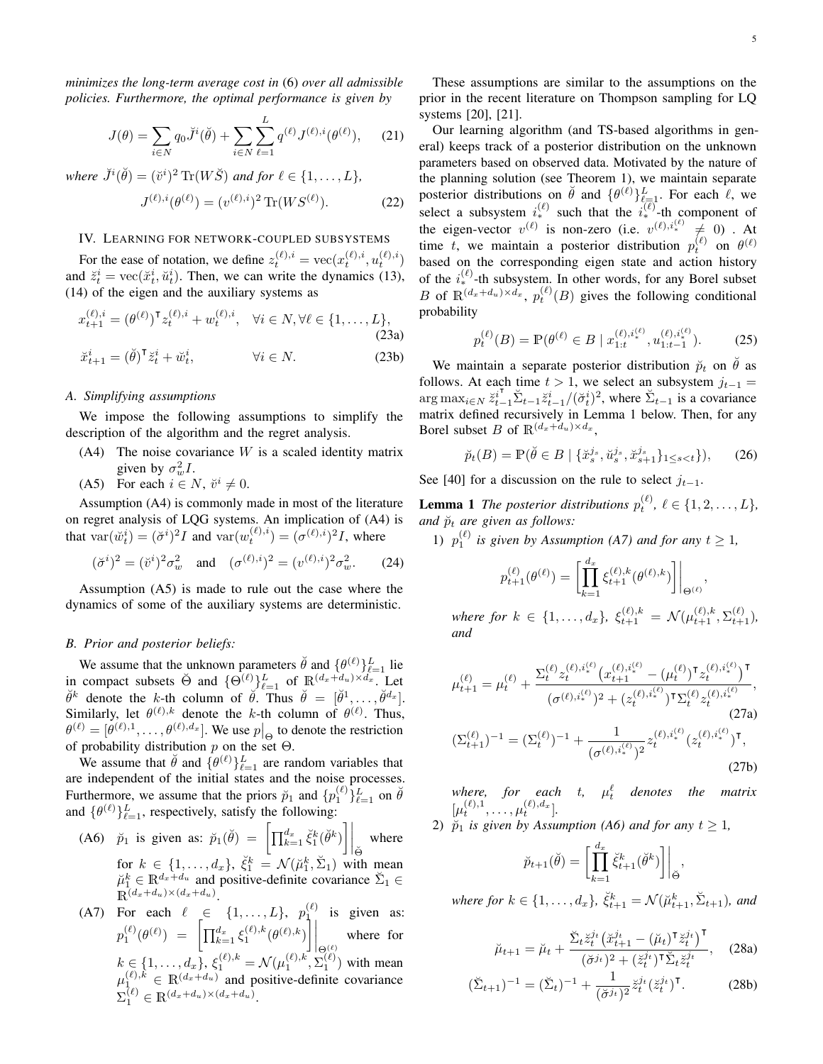*minimizes the long-term average cost in* (6) *over all admissible policies. Furthermore, the optimal performance is given by*

$$
J(\theta) = \sum_{i \in N} q_0 \breve{J}^i(\breve{\theta}) + \sum_{i \in N} \sum_{\ell=1}^L q^{(\ell)} J^{(\ell),i}(\theta^{(\ell)}), \quad (21)
$$

where  $\check{J}^i(\check{\theta}) = (\check{v}^i)^2 \operatorname{Tr}(W\check{S})$  and for  $\ell \in \{1,\ldots,L\}$ ,

$$
J^{(\ell),i}(\theta^{(\ell)}) = (v^{(\ell),i})^2 \operatorname{Tr}(WS^{(\ell)}).
$$
 (22)

#### IV. LEARNING FOR NETWORK-COUPLED SUBSYSTEMS

For the ease of notation, we define  $z_t^{(\ell),i} = \text{vec}(x_t^{(\ell),i}, u_t^{(\ell),i})$ and  $\ddot{z}_t^i = \text{vec}(\ddot{x}_t^i, \ddot{u}_t^i)$ . Then, we can write the dynamics (13), (14) of the eigen and the auxiliary systems as

$$
x_{t+1}^{(\ell),i} = (\theta^{(\ell)})^{\mathsf{T}} z_t^{(\ell),i} + w_t^{(\ell),i}, \quad \forall i \in N, \forall \ell \in \{1, \dots, L\},
$$
\n(23a)\n
$$
\ddot{x}_{t+1}^i = (\check{\theta})^{\mathsf{T}} \ddot{z}_t^i + \ddot{w}_t^i, \qquad \forall i \in N.
$$
\n(23b)

*A. Simplifying assumptions*

We impose the following assumptions to simplify the description of the algorithm and the regret analysis.

- $(A4)$  The noise covariance W is a scaled identity matrix given by  $\sigma_w^2 I$ .
- (A5) For each  $i \in N$ ,  $\breve{v}^i \neq 0$ .

Assumption (A4) is commonly made in most of the literature on regret analysis of LQG systems. An implication of (A4) is that  $var(\check{w}_t^i) = (\check{\sigma}^i)^2 I$  and  $var(w_t^{(\ell),i}) = (\sigma^{(\ell),i})^2 I$ , where

$$
(\breve{\sigma}^i)^2 = (\breve{v}^i)^2 \sigma_w^2
$$
 and  $(\sigma^{(\ell),i})^2 = (v^{(\ell),i})^2 \sigma_w^2$ . (24)

Assumption (A5) is made to rule out the case where the dynamics of some of the auxiliary systems are deterministic.

# *B. Prior and posterior beliefs:*

We assume that the unknown parameters  $\ddot{\theta}$  and  $\{\theta^{(\ell)}\}_{\ell=1}^L$  lie in compact subsets  $\Theta$  and  $\{\Theta^{(\ell)}\}_{\ell=1}^L$  of  $\mathbb{R}^{(d_x+d_u)\times d_x}$ . Let  $\check{\theta}^k$  denote the k-th column of  $\check{\theta}$ . Thus  $\check{\theta} = [\check{\theta}^1, \dots, \check{\theta}^{d_x}].$ Similarly, let  $\theta^{(\ell),k}$  denote the k-th column of  $\theta^{(\ell)}$ . Thus,  $\theta^{(\ell)} = [\theta^{(\ell),1}, \dots, \theta^{(\ell), d_x}]$ . We use  $p|_{\Theta}$  to denote the restriction of probability distribution  $p$  on the set  $\Theta$ .

We assume that  $\ddot{\theta}$  and  $\{\theta^{(\ell)}\}_{\ell=1}^L$  are random variables that are independent of the initial states and the noise processes. Furthermore, we assume that the priors  $\check{p}_1$  and  $\{p_1^{(\ell)}\}_{\ell=1}^L$  on  $\check{\theta}$ and  $\{\theta^{(\ell)}\}_{\ell=1}^L$ , respectively, satisfy the following:

(A6)  $\vec{p}_1$  is given as:  $\vec{p}_1(\vec{\theta}) = \left[ \prod_{k=1}^{d_x} \xi_1^k(\vec{\theta}^k) \right] \Big|_{\vec{\Theta}}$ where for  $k \in \{1, ..., d_x\}$ ,  $\breve{\xi}_1^k = \mathcal{N}(\breve{\mu}_1^k, \breve{\Sigma}_1)$  with mean  $\breve{\mu}_1^k \in \mathbb{R}^{d_x+d_u}$  and positive-definite covariance  $\breve{\Sigma}_1 \in$  $\mathbb{R}^{(d_x+d_u)\times(d_x+d_u)}$ .

(A7) For each 
$$
\ell \in \{1, \ldots, L\}
$$
,  $p_1^{(\ell)}$  is given as:  $p_1^{(\ell)}(\theta^{(\ell)}) = \left[ \prod_{k=1}^{d_x} \xi_1^{(\ell),k}(\theta^{(\ell),k}) \right] \Big|_{\Theta^{(\ell)}}$  where for  $k \in \{1, \ldots, d_x\}$ ,  $\xi_1^{(\ell),k} = \mathcal{N}(\mu_1^{(\ell),k}, \Sigma_1^{(\ell)})$  with mean  $\mu_1^{(\ell),k} \in \mathbb{R}^{(d_x+d_u)}$  and positive-definite covariance  $\Sigma_1^{(\ell)} \in \mathbb{R}^{(d_x+d_u)\times(d_x+d_u)}$ .

These assumptions are similar to the assumptions on the prior in the recent literature on Thompson sampling for LQ systems [20], [21].

Our learning algorithm (and TS-based algorithms in general) keeps track of a posterior distribution on the unknown parameters based on observed data. Motivated by the nature of the planning solution (see Theorem 1), we maintain separate posterior distributions on  $\check{\theta}$  and  $\{\theta^{(\ell)}\}_{\ell=1}^L$ . For each  $\ell$ , we select a subsystem  $i^{(\ell)}_*$  such that the  $i^{(\ell)}_*$ -th component of the eigen-vector  $v^{(\ell)}$  is non-zero (i.e.  $v^{(\ell),i^{(\ell)}_*} \neq 0$ ). At time t, we maintain a posterior distribution  $p_t^{(\ell)}$  on  $\theta^{(\ell)}$ based on the corresponding eigen state and action history of the  $i_{*}^{(\ell)}$ -th subsystem. In other words, for any Borel subset B of  $\mathbb{R}^{(d_x+d_u)\times d_x}$ ,  $p_t^{(\ell)}(B)$  gives the following conditional probability

$$
p_t^{(\ell)}(B) = \mathbb{P}(\theta^{(\ell)} \in B \mid x_{1:t}^{(\ell), i_*^{(\ell)}, u_{1:t-1}^{(\ell), i_*^{(\ell)}}). \tag{25}
$$

We maintain a separate posterior distribution  $\tilde{p}_t$  on  $\tilde{\theta}$  as follows. At each time  $t > 1$ , we select an subsystem  $j_{t-1} =$  $\arg \max_{i \in N} \ddot{z}_{t-1}^{i^{\text{T}}} \ddot{\Sigma}_{t-1} \ddot{z}_{t-1}^{i} / (\ddot{\sigma}_{t}^{i})^{2}$ , where  $\ddot{\Sigma}_{t-1}$  is a covariance matrix defined recursively in Lemma 1 below. Then, for any Borel subset B of  $\mathbb{R}^{(d_x+d_u)\times d_x}$ ,

$$
\breve{p}_t(B) = \mathbb{P}(\breve{\theta} \in B \mid \{\breve{x}_s^{j_s}, \breve{u}_s^{j_s}, \breve{x}_{s+1}^{j_s}\}_{1 \le s < t}\}), \quad (26)
$$

See [40] for a discussion on the rule to select  $j_{t-1}$ .

**Lemma 1** The posterior distributions  $p_t^{(\ell)}$ ,  $\ell \in \{1, 2, ..., L\}$ , *and*  $\breve{p}_t$  *are given as follows:* 

1)  $p_1^{(\ell)}$  is given by Assumption (A7) and for any  $t \geq 1$ ,

$$
p_{t+1}^{(\ell)}(\theta^{(\ell)}) = \left[ \prod_{k=1}^{d_x} \xi_{t+1}^{(\ell),k}(\theta^{(\ell),k}) \right] \Big|_{\Theta^{(\ell)}},
$$

 $where for k \in \{1, ..., d_x\}, \xi_{t+1}^{(\ell), k} = \mathcal{N}(\mu_{t+1}^{(\ell), k}, \Sigma_{t+1}^{(\ell)}),$ *and*

$$
\mu_{t+1}^{(\ell)} = \mu_t^{(\ell)} + \frac{\Sigma_t^{(\ell)} z_t^{(\ell), i_*^{(\ell)}} (x_{t+1}^{(\ell), i_*^{(\ell)}} - (\mu_t^{(\ell)})^{\mathsf{T}} z_t^{(\ell), i_*^{(\ell)}})^{\mathsf{T}}}{(\sigma^{(\ell), i_*^{(\ell)}})^2 + (z_t^{(\ell), i_*^{(\ell)}})^{\mathsf{T}} \Sigma_t^{(\ell)} z_t^{(\ell), i_*^{(\ell)}}},
$$
\n
$$
(\Sigma_{t+1}^{(\ell)})^{-1} = (\Sigma_t^{(\ell)})^{-1} + \frac{1}{(\sigma^{(\ell), i_*^{(\ell)}})^2} z_t^{(\ell), i_*^{(\ell)}} (z_t^{(\ell), i_*^{(\ell)}})^{\mathsf{T}},
$$
\n
$$
(27b)
$$

where, for each t,  $\mu_t^{\ell}$  denotes the matrix  $[\mu_t^{(\ell),1}, \ldots, \mu_t^{(\ell),d_x}].$ 

2)  $\widetilde{p}_1$  *is given by Assumption (A6) and for any*  $t \geq 1$ *,* 

$$
\breve{p}_{t+1}(\breve{\theta}) = \left[ \prod_{k=1}^{d_x} \breve{\xi}_{t+1}^k(\breve{\theta}^k) \right] \Big|_{\breve{\Theta}},
$$

where for  $k \in \{1, \ldots, d_x\}$ ,  $\breve{\xi}_{t+1}^k = \mathcal{N}(\breve{\mu}_{t+1}^k, \breve{\Sigma}_{t+1})$ , and

$$
\breve{\mu}_{t+1} = \breve{\mu}_t + \frac{\breve{\Sigma}_t \breve{z}_t^{j_t} \left( \breve{x}_{t+1}^{j_t} - (\breve{\mu}_t)^{\mathsf{T}} \breve{z}_t^{j_t} \right)^{\mathsf{T}}}{(\breve{\sigma}^{j_t})^2 + (\breve{z}_t^{j_t})^{\mathsf{T}} \breve{\Sigma}_t \breve{z}_t^{j_t}}, \quad (28a)
$$

$$
(\breve{\Sigma}_{t+1})^{-1} = (\breve{\Sigma}_t)^{-1} + \frac{1}{(\breve{\sigma}^{j_t})^2} \breve{z}_t^{j_t} (\breve{z}_t^{j_t})^{\mathsf{T}}.
$$
 (28b)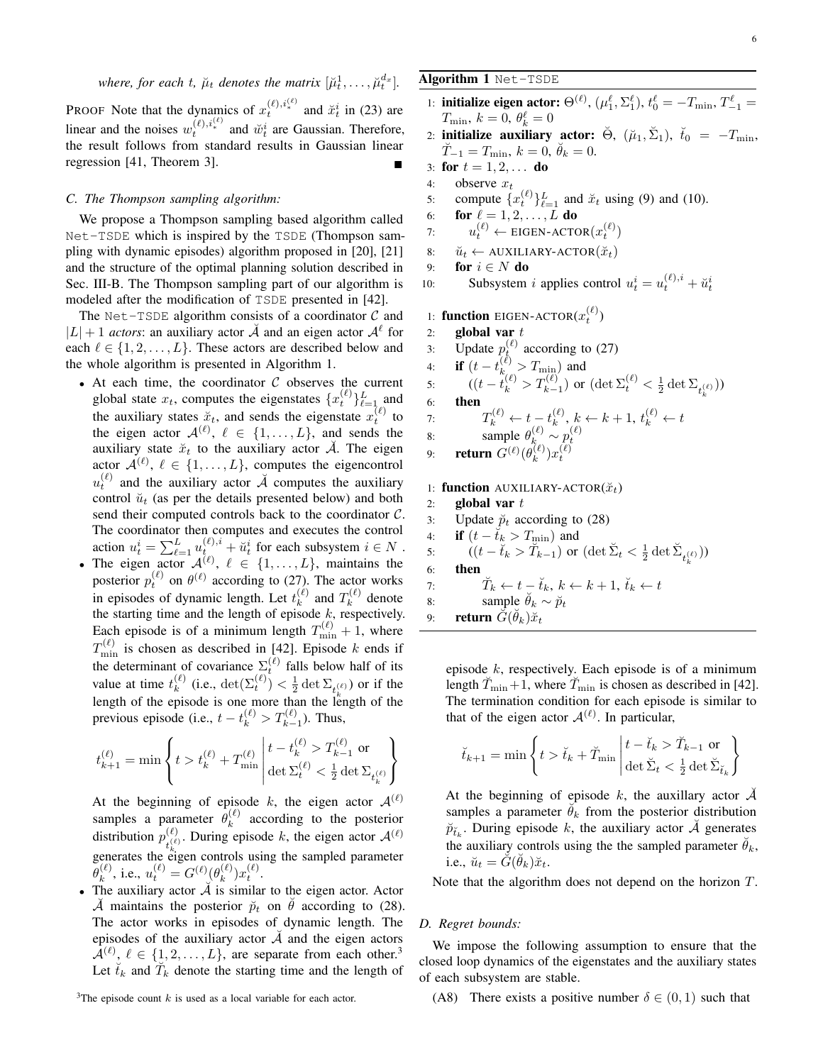where, for each 
$$
t
$$
,  $\mu_t$  denotes the matrix  $[\mu_t^1, \ldots, \mu_t^d]$ 

**PROOF** Note that the dynamics of  $x_t^{(\ell), i_*^{(\ell)}}$  and  $\breve{x}_t^i$  in (23) are linear and the noises  $w_t^{(\ell),i_*^{(\ell)}}$  and  $\breve{w}_t^i$  are Gaussian. Therefore, the result follows from standard results in Gaussian linear regression  $[41,$  Theorem 3].

# *C. The Thompson sampling algorithm:*

We propose a Thompson sampling based algorithm called Net-TSDE which is inspired by the TSDE (Thompson sampling with dynamic episodes) algorithm proposed in [20], [21] and the structure of the optimal planning solution described in Sec. III-B. The Thompson sampling part of our algorithm is modeled after the modification of TSDE presented in [42].

The Net-TSDE algorithm consists of a coordinator  $C$  and  $|L| + 1$  *actors*: an auxiliary actor  $\breve{\mathcal{A}}$  and an eigen actor  $\mathcal{A}^{\ell}$  for each  $\ell \in \{1, 2, ..., L\}$ . These actors are described below and the whole algorithm is presented in Algorithm 1.

- At each time, the coordinator  $C$  observes the current global state  $x_t$ , computes the eigenstates  $\{x_t^{(\ell)}\}_{\ell=1}^L$  and the auxiliary states  $\ddot{x}_t$ , and sends the eigenstate  $x_t^{(\ell)}$  to the eigen actor  $\mathcal{A}^{(\ell)}$ ,  $\ell \in \{1, ..., L\}$ , and sends the auxiliary state  $\check{x}_t$  to the auxiliary actor  $\check{A}$ . The eigen actor  $\mathcal{A}^{(\ell)}$ ,  $\ell \in \{1, ..., L\}$ , computes the eigencontrol  $u_t^{(\ell)}$  and the auxiliary actor  $\breve{A}$  computes the auxiliary control  $\check{u}_t$  (as per the details presented below) and both send their computed controls back to the coordinator  $C$ . The coordinator then computes and executes the control action  $u_t^i = \sum_{\ell=1}^L u_{t_i}^{(\ell),i} + \tilde{u}_t^i$  for each subsystem  $i \in N$ .
- The eigen actor  $\mathcal{A}^{(\ell)}$ ,  $\ell \in \{1, \ldots, L\}$ , maintains the posterior  $p_t^{(\ell)}$  on  $\theta^{(\ell)}$  according to (27). The actor works in episodes of dynamic length. Let  $t_k^{(\ell)}$  $\binom{\ell}{k}$  and  $T_k^{(\ell)}$  $k^{(\ell)}$  denote the starting time and the length of episode  $k$ , respectively. Each episode is of a minimum length  $T_{\min}^{(\ell)} + 1$ , where  $T_{\min}^{(\ell)}$  is chosen as described in [42]. Episode k ends if the determinant of covariance  $\sum_{\ell}^{(\ell)}$  falls below half of its value at time  $t_k^{(\ell)}$  $\binom{\ell}{k}$  (i.e.,  $\det(\Sigma_t^{(\ell)}) < \frac{1}{2} \det \Sigma_{t_k^{(\ell)}}$ ) or if the length of the episode is one more than the length of the previous episode (i.e.,  $t - t_k^{(\ell)} > T_{k-1}^{(\ell)}$ ). Thus,

$$
t_{k+1}^{(\ell)} = \min\left\{t>t_k^{(\ell)}+T_{\min}^{(\ell)}\left|\frac{t-t_k^{(\ell)}>T_{k-1}^{(\ell)}}{\det\Sigma_t^{(\ell)}<\frac{1}{2}\det\Sigma_{t_k^{(\ell)}}}\right.\right\}
$$

At the beginning of episode k, the eigen actor  $A^{(\ell)}$ samples a parameter  $\bar{\theta}_k^{(\ell)}$  $\kappa^{(e)}$  according to the posterior distribution  $p_{\mu(\ell)}^{(\ell)}$ . During episode k, the eigen actor  $\mathcal{A}^{(\ell)}$ generates the eigen controls using the sampled parameter  $\overset{-}{\theta}{}^{(\ell)}_k$  $k^{(\ell)}$ , i.e.,  $u_t^{(\ell)} = G^{(\ell)}(\theta_k^{(\ell)})$  $_{k}^{(\ell)})x_{t}^{(\ell)}.$ 

• The auxiliary actor  $\tilde{A}$  is similar to the eigen actor. Actor  $\check{\mathcal{A}}$  maintains the posterior  $\check{p}_t$  on  $\check{\theta}$  according to (28). The actor works in episodes of dynamic length. The episodes of the auxiliary actor  $\tilde{A}$  and the eigen actors  $\mathcal{A}^{(\ell)}$ ,  $\ell \in \{1, 2, ..., L\}$ , are separate from each other.<sup>3</sup> Let  $\check{t}_k$  and  $\check{T}_k$  denote the starting time and the length of

<sup>3</sup>The episode count  $k$  is used as a local variable for each actor.

# Algorithm 1 Net-TSDE

- 1: **initialize eigen actor:**  $\Theta^{(\ell)}$ ,  $(\mu_1^{\ell}, \Sigma_1^{\ell})$ ,  $t_0^{\ell} = -T_{\min}$ ,  $T_{-1}^{\ell} =$  $T_{\text{min}}, k = 0, \theta_k^{\ell} = 0$
- 2: initialize auxiliary actor:  $\breve{\Theta}$ ,  $(\breve{\mu}_1, \breve{\Sigma}_1)$ ,  $\breve{t}_0 = -T_{\text{min}}$ ,  $\breve{T}_{-1} = T_{\text{min}}, k = 0, \breve{\theta}_k = 0.$
- 3: for  $t = 1, 2, ...$  do
- 4: observe  $x_t$

]*.*

- 5: compute  $\{x_t^{(\ell)}\}_{\ell=1}^L$  and  $\breve{x}_t$  using (9) and (10).
- 6: **for**  $\ell = 1, 2, \ldots, L$  **do**
- 7:  $u_t^{(\ell)} \leftarrow \text{EIGEN-ACTOR}(x_t^{(\ell)})$
- 8:  $\check{u}_t \leftarrow \text{AUXILIARY-ACTOR}(\check{x}_t)$
- 9: for  $i \in N$  do
- 10: Subsystem *i* applies control  $u_t^i = u_t^{(\ell),i} + \breve{u}_t^i$

1: **function** EIGEN-ACTOR $(x_t^{(\ell)})$ 

- 2: global var  $t$
- 3: Update  $p_k^{(\ell)}$  according to (27)

4: **if**  $(t - t_k^{(\ell)} > T_{\min})$  and 5:  $((t - t_k^{(\ell)} > T_{k-1}^{(\ell)}) \text{ or } (\det \Sigma_t^{(\ell)} < \frac{1}{2} \det \Sigma_{t_k^{(\ell)}}))$ 6: then 7:  $T_k^{(\ell)} \leftarrow t - t_k^{(\ell)}$  $\mathbf{k}^{(\ell)}$ ,  $k \leftarrow k+1$ ,  $t_k^{(\ell)} \leftarrow t$ 8: sample  $\theta_k^{(\ell)} \sim p_t^{(\ell)}$ <br>9: **return**  $G^{(\ell)}(\theta_k^{(\ell)})x_t^{(\ell)}$  $_{k}^{(\ell)})x_{t}^{(\ell)}$ 

# 1: function AUXILIARY-ACTOR( $\breve{x}_t$ )

2: global var  $t$ 3: Update  $\tilde{p}_t$  according to (28) 4: **if**  $(t - \breve{t}_k > T_{\min})$  and 5:  $((t - \tilde{t}_k > \tilde{T}_{k-1}) \text{ or } (\det \tilde{\Sigma}_t < \frac{1}{2} \det \tilde{\Sigma}_{t_k^{(\ell)}}))$ 6: then 7:  $\breve{T}_k \leftarrow t - \breve{t}_k, k \leftarrow k + 1, \breve{t}_k \leftarrow t$ 8: sample  $\ddot{\theta}_k \sim \ddot{p}_t$ 

9: return  $\breve{G}(\breve{\theta}_k)\breve{x}_t$ 

episode  $k$ , respectively. Each episode is of a minimum length  $\tilde{T}_{\min}+1$ , where  $\tilde{T}_{\min}$  is chosen as described in [42]. The termination condition for each episode is similar to that of the eigen actor  $A^{(\ell)}$ . In particular,

$$
\breve{t}_{k+1} = \min \left\{ t > \breve{t}_k + \breve{T}_{\min} \middle| \begin{aligned} t - \breve{t}_k > \breve{T}_{k-1} & \text{or} \\ \det \breve{\Sigma}_t < \frac{1}{2} \det \breve{\Sigma}_{\breve{t}_k} \end{aligned} \right\}
$$

At the beginning of episode k, the auxillary actor  $\overrightarrow{A}$ samples a parameter  $\dot{\theta}_k$  from the posterior distribution  $\breve{p}_{\breve{t}_k}$ . During episode k, the auxiliary actor  $\breve{\mathcal{A}}$  generates the auxiliary controls using the the sampled parameter  $\ddot{\theta}_k$ , i.e.,  $\breve{u}_t = \breve{G}(\breve{\theta}_k)\breve{x}_t$ .

Note that the algorithm does not depend on the horizon T.

# *D. Regret bounds:*

We impose the following assumption to ensure that the closed loop dynamics of the eigenstates and the auxiliary states of each subsystem are stable.

(A8) There exists a positive number  $\delta \in (0,1)$  such that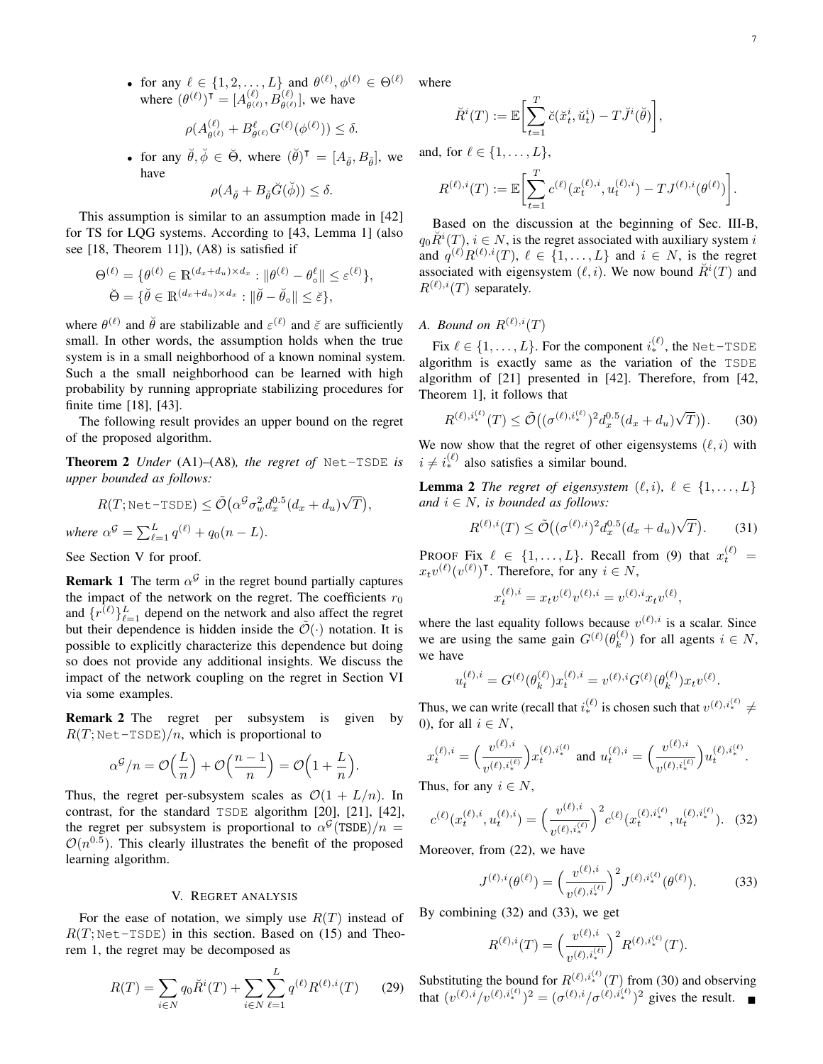• for any  $\ell \in \{1, 2, ..., L\}$  and  $\theta^{(\ell)}, \phi^{(\ell)} \in \Theta^{(\ell)}$ where  $(\theta^{(\ell)})^{\mathsf{T}} = [A_{\theta^{(\ell)}}^{(\ell)}]$  $\theta_{\theta^{(\ell)}}^{(\ell)}, B_{\theta^{(\ell)}}^{(\ell)}$ , we have

$$
\rho(A_{\theta^{(\ell)}}^{(\ell)} + B_{\theta^{(\ell)}}^{\ell} G^{(\ell)}(\phi^{(\ell)})) \le \delta.
$$

• for any  $\check{\theta}, \check{\phi} \in \check{\Theta}$ , where  $(\check{\theta})^{\mathsf{T}} = [A_{\check{\theta}}, B_{\check{\theta}}]$ , we have

$$
\rho(A_{\breve{\theta}} + B_{\breve{\theta}}\breve{G}(\breve{\phi})) \le \delta.
$$

This assumption is similar to an assumption made in [42] for TS for LQG systems. According to [43, Lemma 1] (also see [18, Theorem 11]), (A8) is satisfied if

$$
\Theta^{(\ell)} = \{ \theta^{(\ell)} \in \mathbb{R}^{(d_x + d_u) \times d_x} : ||\theta^{(\ell)} - \theta^{\ell}_\circ|| \le \varepsilon^{(\ell)} \},
$$
  

$$
\breve{\Theta} = \{ \breve{\theta} \in \mathbb{R}^{(d_x + d_u) \times d_x} : ||\breve{\theta} - \breve{\theta}_\circ|| \le \breve{\varepsilon} \},
$$

where  $\theta^{(\ell)}$  and  $\check{\theta}$  are stabilizable and  $\varepsilon^{(\ell)}$  and  $\check{\varepsilon}$  are sufficiently small. In other words, the assumption holds when the true system is in a small neighborhood of a known nominal system. Such a the small neighborhood can be learned with high probability by running appropriate stabilizing procedures for finite time [18], [43].

The following result provides an upper bound on the regret of the proposed algorithm.

Theorem 2 *Under* (A1)–(A8)*, the regret of* Net-TSDE *is upper bounded as follows:*

$$
R(T; \text{Net-TSDE}) \le \tilde{\mathcal{O}}\left(\alpha^{\mathcal{G}} \sigma_w^2 d_x^{0.5} (d_x + d_u)\sqrt{T}\right),
$$

where 
$$
\alpha^{\mathcal{G}} = \sum_{\ell=1}^{L} q^{(\ell)} + q_0(n-L)
$$
.

See Section V for proof.

**Remark 1** The term  $\alpha^{\mathcal{G}}$  in the regret bound partially captures the impact of the network on the regret. The coefficients  $r_0$ and  $\{r^{(\ell)}\}_{\ell=1}^L$  depend on the network and also affect the regret but their dependence is hidden inside the  $\tilde{\mathcal{O}}(\cdot)$  notation. It is possible to explicitly characterize this dependence but doing so does not provide any additional insights. We discuss the impact of the network coupling on the regret in Section VI via some examples.

Remark 2 The regret per subsystem is given by  $R(T; \text{Net-TSDE})/n$ , which is proportional to

$$
\alpha^{\mathcal{G}}/n = \mathcal{O}\left(\frac{L}{n}\right) + \mathcal{O}\left(\frac{n-1}{n}\right) = \mathcal{O}\left(1 + \frac{L}{n}\right)
$$

Thus, the regret per-subsystem scales as  $\mathcal{O}(1 + L/n)$ . In contrast, for the standard TSDE algorithm [20], [21], [42], the regret per subsystem is proportional to  $\alpha^{\mathcal{G}}(\text{TSDE})/n =$  $\mathcal{O}(n^{0.5})$ . This clearly illustrates the benefit of the proposed learning algorithm.

## V. REGRET ANALYSIS

For the ease of notation, we simply use  $R(T)$  instead of  $R(T; \text{Net-TSDE})$  in this section. Based on (15) and Theorem 1, the regret may be decomposed as

$$
R(T) = \sum_{i \in N} q_0 \breve{R}^i(T) + \sum_{i \in N} \sum_{\ell=1}^L q^{(\ell)} R^{(\ell),i}(T) \qquad (29)
$$

where

$$
\breve{R}^{i}(T) := \mathbb{E}\bigg[\sum_{t=1}^{T} \breve{c}(\breve{x}^{i}_{t}, \breve{u}^{i}_{t}) - T\breve{J}^{i}(\breve{\theta})\bigg],
$$

and, for  $\ell \in \{1, \ldots, L\}$ ,

$$
R^{(\ell),i}(T) := \mathbb{E}\bigg[\sum_{t=1}^T c^{(\ell)}(x_t^{(\ell),i}, u_t^{(\ell),i}) - TJ^{(\ell),i}(\theta^{(\ell)})\bigg].
$$

Based on the discussion at the beginning of Sec. III-B,  $q_0 \check{R}^i(T)$ ,  $i \in N$ , is the regret associated with auxiliary system i and  $q^{(\ell)}R^{(\ell),i}(T)$ ,  $\ell \in \{1,\ldots,L\}$  and  $i \in N$ , is the regret associated with eigensystem  $(\ell, i)$ . We now bound  $\breve{R}^{i}(T)$  and  $R^{(\ell),i}(T)$  separately.

*A. Bound on*  $R^{(\ell),i}(T)$ 

Fix  $\ell \in \{1, ..., L\}$ . For the component  $i_{*}^{(\ell)}$ , the Net-TSDE algorithm is exactly same as the variation of the TSDE algorithm of [21] presented in [42]. Therefore, from [42, Theorem 1], it follows that

$$
R^{(\ell),i_{*}^{(\ell)}}(T) \le \tilde{\mathcal{O}}\big( (\sigma^{(\ell),i_{*}^{(\ell)}})^{2} d_{x}^{0.5}(d_{x} + d_{u})\sqrt{T}) \big).
$$
 (30)

We now show that the regret of other eigensystems  $(\ell, i)$  with  $i \neq i^{(\ell)}_*$  also satisfies a similar bound.

**Lemma 2** *The regret of eigensystem*  $(\ell, i)$ ,  $\ell \in \{1, \ldots, L\}$ *and*  $i \in N$ *, is bounded as follows:* 

$$
R^{(\ell),i}(T) \le \tilde{\mathcal{O}}\big( (\sigma^{(\ell),i})^2 d_x^{0.5} (d_x + d_u)\sqrt{T} \big). \tag{31}
$$

**PROOF Fix**  $\ell \in \{1, ..., L\}$ . Recall from (9) that  $x_t^{(\ell)}$  =  $x_t v^{(\ell)} (v^{(\ell)})^{\intercal}$ . Therefore, for any  $i \in N$ ,

$$
x_t^{(\ell),i} = x_t v^{(\ell)} v^{(\ell),i} = v^{(\ell),i} x_t v^{(\ell)},
$$

where the last equality follows because  $v^{(\ell),i}$  is a scalar. Since we are using the same gain  $G^{(\ell)}(\theta_k^{(\ell)})$  $\binom{k}{k}$  for all agents  $i \in N$ , we have

$$
u_t^{(\ell),i} = G^{(\ell)}(\theta_k^{(\ell)}) x_t^{(\ell),i} = v^{(\ell),i} G^{(\ell)}(\theta_k^{(\ell)}) x_t v^{(\ell)}.
$$

Thus, we can write (recall that  $i^{(\ell)}_*$  is chosen such that  $v^{(\ell),i^{(\ell)}_*} \neq$ 0), for all  $i \in N$ ,

$$
x_t^{(\ell),i} = \left(\frac{v^{(\ell),i}}{v^{(\ell),i_*^{(\ell)}}}\right) x_t^{(\ell),i_*^{(\ell)}} \text{ and } u_t^{(\ell),i} = \left(\frac{v^{(\ell),i}}{v^{(\ell),i_*^{(\ell)}}}\right) u_t^{(\ell),i_*^{(\ell)}}.
$$

Thus, for any  $i \in N$ ,

.

$$
c^{(\ell)}(x_t^{(\ell),i}, u_t^{(\ell),i}) = \left(\frac{v^{(\ell),i}}{v^{(\ell),i_*^{(\ell)}}}\right)^2 c^{(\ell)}(x_t^{(\ell),i_*^{(\ell)}}, u_t^{(\ell),i_*^{(\ell)}}). \tag{32}
$$

Moreover, from (22), we have

$$
J^{(\ell),i}(\theta^{(\ell)}) = \left(\frac{v^{(\ell),i}}{v^{(\ell),i_*^{(\ell)}}}\right)^2 J^{(\ell),i_*^{(\ell)}}(\theta^{(\ell)}).
$$
 (33)

By combining (32) and (33), we get

$$
R^{(\ell),i}(T) = \left(\frac{v^{(\ell),i}}{v^{(\ell),i_*^{(\ell)}}}\right)^2 R^{(\ell),i_*^{(\ell)}}(T).
$$

Substituting the bound for  $R^{(\ell),i_*^{(\ell)}}(T)$  from (30) and observing that  $(v^{(\ell),i}/v^{(\ell),i^{(\ell)}_*})^2 = (\sigma^{(\ell),i}/\sigma^{(\ell),i^{(\ell)}_*})^2$  gives the result.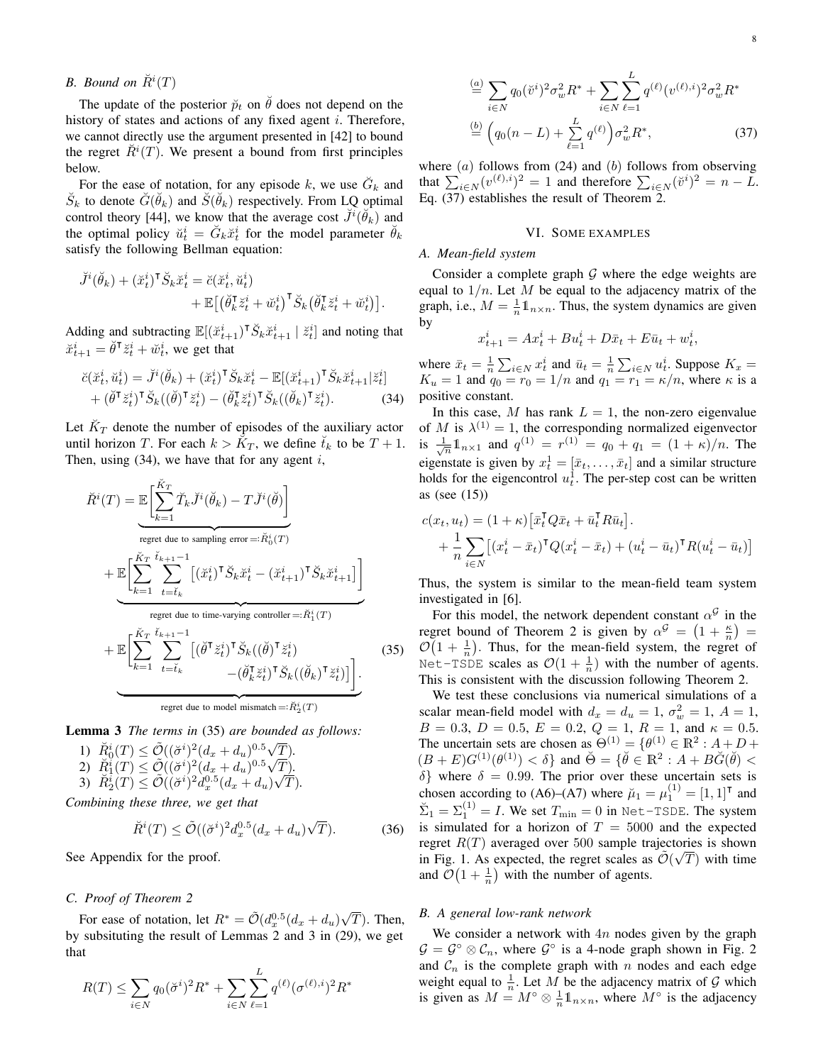# *B.* Bound on  $\check{R}^i(T)$

The update of the posterior  $\tilde{p}_t$  on  $\tilde{\theta}$  does not depend on the history of states and actions of any fixed agent  $i$ . Therefore, we cannot directly use the argument presented in [42] to bound the regret  $\check{R}$ <sup>i</sup>(T). We present a bound from first principles below.

For the ease of notation, for any episode k, we use  $\check{G}_k$  and  $\breve{S}_k$  to denote  $\breve{G}(\breve{\theta}_k)$  and  $\breve{S}(\breve{\theta}_k)$  respectively. From LQ optimal control theory [44], we know that the average cost  $\breve{J}^i(\breve{\theta}_k)$  and the optimal policy  $\breve{u}_t^i = \breve{G}_k \breve{x}_t^i$  for the model parameter  $\breve{\theta}_k$ satisfy the following Bellman equation:

$$
\begin{split} \breve{J}^i(\breve{\theta}_k) + (\breve{x}_t^i)^\mathsf{T} \breve{S}_k \breve{x}_t^i &= \breve{c}(\breve{x}_t^i, \breve{u}_t^i) \\ &+ \mathbb{E}\big[\big(\breve{\theta}_k^\mathsf{T} \breve{z}_t^i + \breve{w}_t^i\big)^\mathsf{T} \breve{S}_k \big(\breve{\theta}_k^\mathsf{T} \breve{z}_t^i + \breve{w}_t^i\big)\big]. \end{split}
$$

Adding and subtracting  $\mathbb{E}[(\breve{x}_{t+1}^i)^\mathsf{T} \breve{S}_k \breve{x}_{t+1}^i \mid \breve{z}_t^i]$  and noting that  $\breve{x}_{t+1}^i = \breve{\theta}^\intercal \breve{z}_t^i + \breve{w}_t^i$ , we get that

$$
\breve{c}(\breve{x}^i_t, \breve{u}^i_t) = \breve{J}^i(\breve{\theta}_k) + (\breve{x}^i_t)^{\mathsf{T}} \breve{S}_k \breve{x}^i_t - \mathbb{E}[(\breve{x}^i_{t+1})^{\mathsf{T}} \breve{S}_k \breve{x}^i_{t+1} | \breve{z}^i_t] + (\breve{\theta}^{\mathsf{T}} \breve{z}^i_t)^{\mathsf{T}} \breve{S}_k((\breve{\theta})^{\mathsf{T}} \breve{z}^i_t) - (\breve{\theta}^{\mathsf{T}}_k \breve{z}^i_t)^{\mathsf{T}} \breve{S}_k((\breve{\theta}_k)^{\mathsf{T}} \breve{z}^i_t).
$$
\n(34)

Let  $\breve{K}_T$  denote the number of episodes of the auxiliary actor until horizon T. For each  $k > \check{K}_T$ , we define  $\check{t}_k$  to be  $T + 1$ . Then, using  $(34)$ , we have that for any agent i,

$$
\check{R}^{i}(T) = \mathbb{E}\left[\sum_{k=1}^{\check{K}_{T}}\check{T}_{k}\check{J}^{i}(\check{\theta}_{k}) - T\check{J}^{i}(\check{\theta})\right]
$$
\nregret due to sampling error =:  $\check{R}_{0}^{i}(T)$ \n
$$
+ \mathbb{E}\left[\sum_{k=1}^{\check{K}_{T}}\sum_{t=i_{k}}^{\check{t}_{k+1}-1} [(\check{x}_{t}^{i})^{\mathsf{T}}\check{S}_{k}\check{x}_{t}^{i} - (\check{x}_{t+1}^{i})^{\mathsf{T}}\check{S}_{k}\check{x}_{t+1}^{i}] \right]
$$
\nregret due to time-varying controller =:  $\check{R}_{1}^{i}(T)$ \n
$$
+ \mathbb{E}\left[\sum_{k=1}^{\check{K}_{T}}\sum_{t=i_{k}}^{\check{t}_{k+1}-1} [(\check{\theta}^{\mathsf{T}}\check{z}_{t}^{i})^{\mathsf{T}}\check{S}_{k}((\check{\theta})^{\mathsf{T}}\check{z}_{t}^{i}) - (\check{\theta}_{k}^{\mathsf{T}}\check{z}_{t}^{i})^{\mathsf{T}}\check{S}_{k}((\check{\theta}_{k})^{\mathsf{T}}\check{z}_{t}^{i}) \right].
$$
\nregret due to model mismatch =:  $\check{R}_{2}^{i}(T)$ 

Lemma 3 *The terms in* (35) *are bounded as follows:*

1)  $\check{R}_0^i(T) \leq \tilde{\mathcal{O}}((\check{\sigma}^i)^2(d_x + d_u)^{0.5})$ T)*.* 1)  $R_0^i(T) \leq \mathcal{O}((\sigma^i)^2 (d_x + d_u)^{0.5}\sqrt{\sigma^2}$ <br>
2)  $\widetilde{R}_1^i(T) \leq \widetilde{\mathcal{O}}((\widetilde{\sigma}^i)^2 (d_x + d_u)^{0.5}\sqrt{\sigma^2}$ T)*.* 3)  $\check{R}_2^i(T) \leq \tilde{\mathcal{O}}((\check{\sigma}^i)^2 \check{d}_x^{0.5} (d_x + d_u))$ √ T)*.*

*Combining these three, we get that*

$$
\breve{R}^{i}(T) \leq \tilde{\mathcal{O}}((\breve{\sigma}^{i})^{2} d_{x}^{0.5}(d_{x} + d_{u})\sqrt{T}). \tag{36}
$$

See Appendix for the proof.

## *C. Proof of Theorem 2*

For ease of notation, let  $R^* = \tilde{\mathcal{O}}(d_x^{0.5}(d_x + d_u))$ √  $T$ ). Then, by subsituting the result of Lemmas 2 and 3 in (29), we get that

$$
R(T) \le \sum_{i \in N} q_0(\breve{\sigma}^i)^2 R^* + \sum_{i \in N} \sum_{\ell=1}^L q^{(\ell)}(\sigma^{(\ell),i})^2 R^*
$$

$$
\stackrel{(a)}{=} \sum_{i \in N} q_0(\breve{v}^i)^2 \sigma_w^2 R^* + \sum_{i \in N} \sum_{\ell=1}^L q^{(\ell)} (v^{(\ell),i})^2 \sigma_w^2 R^*
$$
\n
$$
\stackrel{(b)}{=} \left( q_0(n-L) + \sum_{\ell=1}^L q^{(\ell)} \right) \sigma_w^2 R^*,
$$
\n(37)

where  $(a)$  follows from  $(24)$  and  $(b)$  follows from observing that  $\sum_{i \in N} (v^{(\ell),i})^2 = 1$  and therefore  $\sum_{i \in N} (\check{v}^i)^2 = n - L$ . Eq. (37) establishes the result of Theorem 2.

#### VI. SOME EXAMPLES

## *A. Mean-field system*

Consider a complete graph  $G$  where the edge weights are equal to  $1/n$ . Let M be equal to the adjacency matrix of the graph, i.e.,  $M = \frac{1}{n} \mathbb{1}_{n \times n}$ . Thus, the system dynamics are given by

$$
x_{t+1}^i = Ax_t^i + Bu_t^i + D\bar{x}_t + E\bar{u}_t + w_t^i,
$$

where  $\bar{x}_t = \frac{1}{n} \sum_{i \in N} x_t^i$  and  $\bar{u}_t = \frac{1}{n} \sum_{i \in N} u_t^i$ . Suppose  $K_x =$  $K_u = 1$  and  $q_0 = r_0 = 1/n$  and  $q_1 = r_1 = \kappa/n$ , where  $\kappa$  is a positive constant.

In this case, M has rank  $L = 1$ , the non-zero eigenvalue of M is  $\lambda^{(1)} = 1$ , the corresponding normalized eigenvector is  $\frac{1}{\sqrt{n}} \mathbb{1}_{n \times 1}$  and  $q^{(1)} = r^{(1)} = q_0 + q_1 = (1 + \kappa)/n$ . The eigenstate is given by  $x_t^1 = [\bar{x}_t, \dots, \bar{x}_t]$  and a similar structure holds for the eigencontrol  $u_t^1$ . The per-step cost can be written as (see (15))

$$
c(x_t, u_t) = (1 + \kappa) \left[ \bar{x}_t^\mathsf{T} Q \bar{x}_t + \bar{u}_t^\mathsf{T} R \bar{u}_t \right].
$$
  
+ 
$$
\frac{1}{n} \sum_{i \in N} \left[ (x_t^i - \bar{x}_t)^\mathsf{T} Q (x_t^i - \bar{x}_t) + (u_t^i - \bar{u}_t)^\mathsf{T} R (u_t^i - \bar{u}_t) \right]
$$

Thus, the system is similar to the mean-field team system investigated in [6].

(35)  $\mathcal{O}(1 + \frac{1}{n})$ . Thus, for the mean-field system, the regret of For this model, the network dependent constant  $\alpha^{\mathcal{G}}$  in the regret bound of Theorem 2 is given by  $\alpha^{\mathcal{G}} = (1 + \frac{\kappa}{n}) =$ Net-TSDE scales as  $\mathcal{O}(1+\frac{1}{n})$  with the number of agents. This is consistent with the discussion following Theorem 2.

We test these conclusions via numerical simulations of a scalar mean-field model with  $d_x = d_u = 1$ ,  $\sigma_w^2 = 1$ ,  $A = 1$ ,  $B = 0.3, D = 0.5, E = 0.2, Q = 1, R = 1, \text{ and } \kappa = 0.5.$ The uncertain sets are chosen as  $\Theta^{(1)} = {\theta^{(1)} \in \mathbb{R}^2 : A + D + \Theta}$  $(B+E)G^{(1)}(\theta^{(1)}) < \delta$  and  $\breve{\Theta} = {\{\breve{\theta} \in \mathbb{R}^2 : A + B\breve{G}(\breve{\theta}) \leq \delta\}}$  $\delta$ } where  $\delta = 0.99$ . The prior over these uncertain sets is chosen according to (A6)–(A7) where  $\mu_1 = \mu_1^{(1)} = [1, 1]^\mathsf{T}$  and  $\Sigma_1 = \Sigma_1^{(1)} = I$ . We set  $T_{\min} = 0$  in Net-TSDE. The system is simulated for a horizon of  $T = 5000$  and the expected regret  $R(T)$  averaged over 500 sample trajectories is shown in Fig. 1. As expected, the regret scales as  $\tilde{\mathcal{O}}(\sqrt{T})$  with time and  $\mathcal{O}(1+\frac{1}{n})$  with the number of agents.

## *B. A general low-rank network*

We consider a network with  $4n$  nodes given by the graph  $\mathcal{G} = \mathcal{G}^{\circ} \otimes \mathcal{C}_n$ , where  $\mathcal{G}^{\circ}$  is a 4-node graph shown in Fig. 2 and  $C_n$  is the complete graph with n nodes and each edge weight equal to  $\frac{1}{n}$ . Let M be the adjacency matrix of G which is given as  $M = M^{\circ} \otimes \frac{1}{n} \mathbb{1}_{n \times n}$ , where  $M^{\circ}$  is the adjacency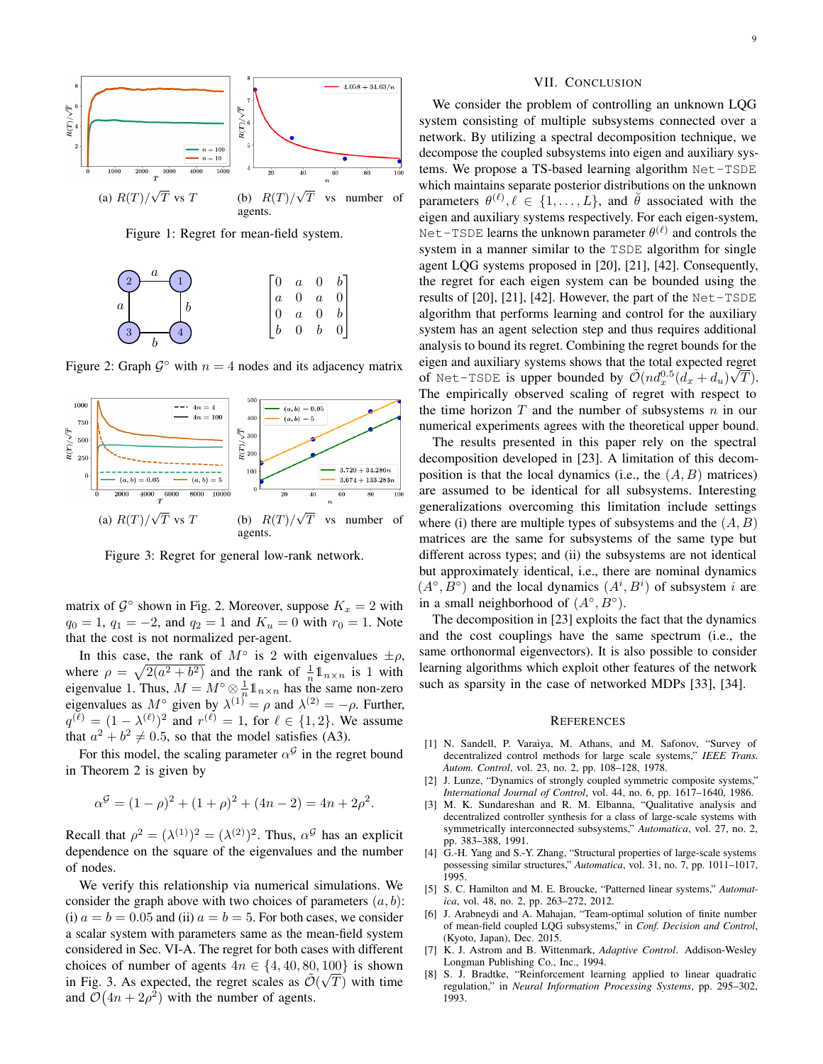

Figure 1: Regret for mean-field system.



Figure 2: Graph  $\mathcal{G}^{\circ}$  with  $n = 4$  nodes and its adjacency matrix



Figure 3: Regret for general low-rank network.

matrix of  $\mathcal{G}^{\circ}$  shown in Fig. 2. Moreover, suppose  $K_x = 2$  with  $q_0 = 1$ ,  $q_1 = -2$ , and  $q_2 = 1$  and  $K_u = 0$  with  $r_0 = 1$ . Note that the cost is not normalized per-agent.

In this case, the rank of  $M^{\circ}$  is 2 with eigenvalues  $\pm \rho$ , where  $\rho = \sqrt{2(a^2 + b^2)}$  and the rank of  $\frac{1}{n} \mathbb{1}_{n \times n}$  is 1 with where  $p = \sqrt{2(a + b)}$  and the rank of  $n \geq n \geq 1$  while<br>eigenvalue 1. Thus,  $M = M^\circ \otimes \frac{1}{n} \mathbb{1}_{n \times n}$  has the same non-zero eigenvalues as  $M^{\circ}$  given by  $\lambda^{(1)} = \rho$  and  $\lambda^{(2)} = -\rho$ . Further,  $q^{(\ell)} = (1 - \lambda^{(\ell)})^2$  and  $r^{(\ell)} = 1$ , for  $\ell \in \{1, 2\}$ . We assume that  $a^2 + b^2 \neq 0.5$ , so that the model satisfies (A3).

For this model, the scaling parameter  $\alpha^{\mathcal{G}}$  in the regret bound in Theorem 2 is given by

$$
\alpha^{G} = (1 - \rho)^{2} + (1 + \rho)^{2} + (4n - 2) = 4n + 2\rho^{2}.
$$

Recall that  $\rho^2 = (\lambda^{(1)})^2 = (\lambda^{(2)})^2$ . Thus,  $\alpha^{\mathcal{G}}$  has an explicit dependence on the square of the eigenvalues and the number of nodes.

We verify this relationship via numerical simulations. We consider the graph above with two choices of parameters  $(a, b)$ : (i)  $a = b = 0.05$  and (ii)  $a = b = 5$ . For both cases, we consider a scalar system with parameters same as the mean-field system considered in Sec. VI-A. The regret for both cases with different choices of number of agents  $4n \in \{4, 40, 80, 100\}$  is shown in Fig. 3. As expected, the regret scales as  $\tilde{\mathcal{O}}(\sqrt{T})$  with time and  $\mathcal{O}(4n + 2\rho^2)$  with the number of agents.

## VII. CONCLUSION

We consider the problem of controlling an unknown LQG system consisting of multiple subsystems connected over a network. By utilizing a spectral decomposition technique, we decompose the coupled subsystems into eigen and auxiliary systems. We propose a TS-based learning algorithm Net-TSDE which maintains separate posterior distributions on the unknown parameters  $\theta^{(\ell)}, \ell \in \{1, \ldots, L\}$ , and  $\check{\theta}$  associated with the eigen and auxiliary systems respectively. For each eigen-system, Net-TSDE learns the unknown parameter  $\theta^{(\ell)}$  and controls the system in a manner similar to the TSDE algorithm for single agent LQG systems proposed in [20], [21], [42]. Consequently, the regret for each eigen system can be bounded using the results of  $[20]$ ,  $[21]$ ,  $[42]$ . However, the part of the Net-TSDE algorithm that performs learning and control for the auxiliary system has an agent selection step and thus requires additional analysis to bound its regret. Combining the regret bounds for the eigen and auxiliary systems shows that the total expected regret of Net-TSDE is upper bounded by  $\tilde{\mathcal{O}}(nd_x^{0.5}(\tilde{d_x}+d_u)\sqrt{T}).$ The empirically observed scaling of regret with respect to the time horizon  $T$  and the number of subsystems  $n$  in our numerical experiments agrees with the theoretical upper bound.

The results presented in this paper rely on the spectral decomposition developed in [23]. A limitation of this decomposition is that the local dynamics (i.e., the  $(A, B)$  matrices) are assumed to be identical for all subsystems. Interesting generalizations overcoming this limitation include settings where (i) there are multiple types of subsystems and the  $(A, B)$ matrices are the same for subsystems of the same type but different across types; and (ii) the subsystems are not identical but approximately identical, i.e., there are nominal dynamics  $(A^{\circ}, B^{\circ})$  and the local dynamics  $(A^{i}, B^{i})$  of subsystem i are in a small neighborhood of  $(A^{\circ}, B^{\circ})$ .

The decomposition in [23] exploits the fact that the dynamics and the cost couplings have the same spectrum (i.e., the same orthonormal eigenvectors). It is also possible to consider learning algorithms which exploit other features of the network such as sparsity in the case of networked MDPs [33], [34].

#### **REFERENCES**

- [1] N. Sandell, P. Varaiya, M. Athans, and M. Safonov, "Survey of decentralized control methods for large scale systems," *IEEE Trans. Autom. Control*, vol. 23, no. 2, pp. 108–128, 1978.
- [2] J. Lunze, "Dynamics of strongly coupled symmetric composite systems," *International Journal of Control*, vol. 44, no. 6, pp. 1617–1640, 1986.
- [3] M. K. Sundareshan and R. M. Elbanna, "Qualitative analysis and decentralized controller synthesis for a class of large-scale systems with symmetrically interconnected subsystems," *Automatica*, vol. 27, no. 2, pp. 383–388, 1991.
- [4] G.-H. Yang and S.-Y. Zhang, "Structural properties of large-scale systems possessing similar structures," *Automatica*, vol. 31, no. 7, pp. 1011–1017, 1995.
- [5] S. C. Hamilton and M. E. Broucke, "Patterned linear systems," *Automatica*, vol. 48, no. 2, pp. 263–272, 2012.
- [6] J. Arabneydi and A. Mahajan, "Team-optimal solution of finite number of mean-field coupled LQG subsystems," in *Conf. Decision and Control*, (Kyoto, Japan), Dec. 2015.
- [7] K. J. Astrom and B. Wittenmark, *Adaptive Control*. Addison-Wesley Longman Publishing Co., Inc., 1994.
- [8] S. J. Bradtke, "Reinforcement learning applied to linear quadratic regulation," in *Neural Information Processing Systems*, pp. 295–302, 1993.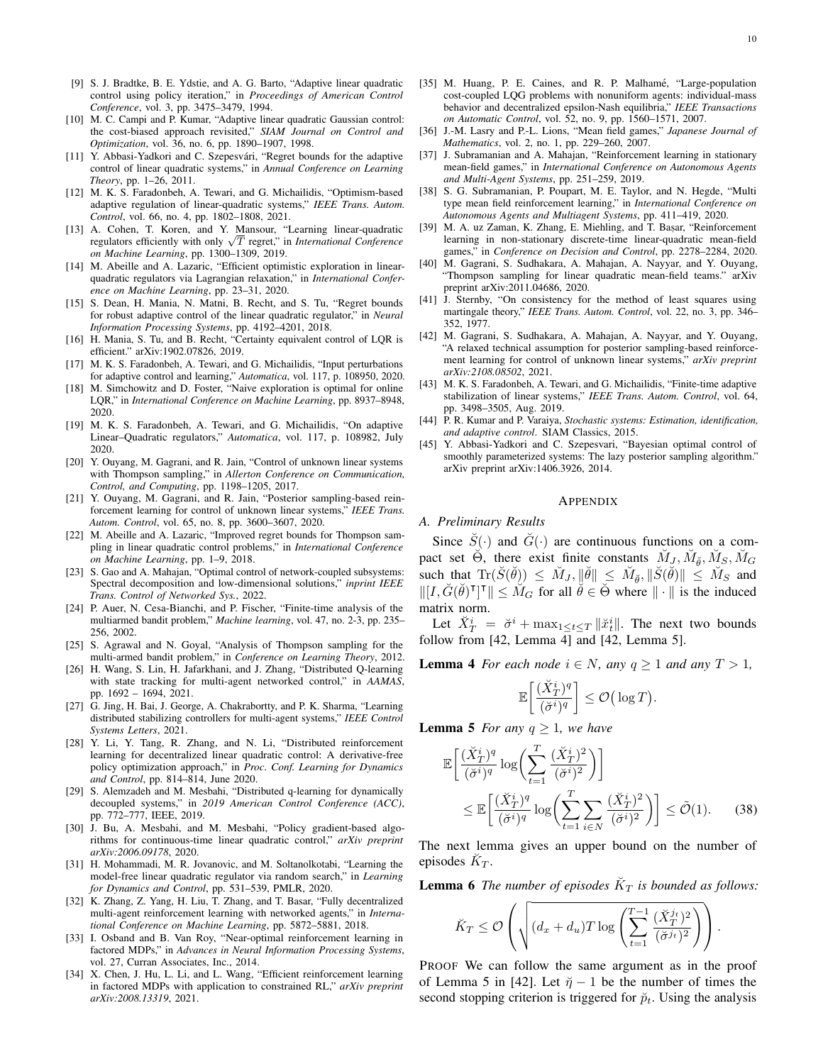- [9] S. J. Bradtke, B. E. Ydstie, and A. G. Barto, "Adaptive linear quadratic control using policy iteration," in *Proceedings of American Control Conference*, vol. 3, pp. 3475–3479, 1994.
- [10] M. C. Campi and P. Kumar, "Adaptive linear quadratic Gaussian control: the cost-biased approach revisited," *SIAM Journal on Control and Optimization*, vol. 36, no. 6, pp. 1890–1907, 1998.
- [11] Y. Abbasi-Yadkori and C. Szepesvári, "Regret bounds for the adaptive control of linear quadratic systems," in *Annual Conference on Learning Theory*, pp. 1–26, 2011.
- [12] M. K. S. Faradonbeh, A. Tewari, and G. Michailidis, "Optimism-based adaptive regulation of linear-quadratic systems," *IEEE Trans. Autom. Control*, vol. 66, no. 4, pp. 1802–1808, 2021.
- [13] A. Cohen, T. Koren, and Y. Mansour, "Learning linear-quadratic A. Conen, 1. Koren, and *Y. Mansour*, "Learning linear-quadratic regulators efficiently with only  $\sqrt{T}$  regret," in *International Conference on Machine Learning*, pp. 1300–1309, 2019.
- [14] M. Abeille and A. Lazaric, "Efficient optimistic exploration in linearquadratic regulators via Lagrangian relaxation," in *International Conference on Machine Learning*, pp. 23–31, 2020.
- [15] S. Dean, H. Mania, N. Matni, B. Recht, and S. Tu, "Regret bounds for robust adaptive control of the linear quadratic regulator," in *Neural Information Processing Systems*, pp. 4192–4201, 2018.
- [16] H. Mania, S. Tu, and B. Recht, "Certainty equivalent control of LQR is efficient." arXiv:1902.07826, 2019.
- [17] M. K. S. Faradonbeh, A. Tewari, and G. Michailidis, "Input perturbations for adaptive control and learning," *Automatica*, vol. 117, p. 108950, 2020.
- [18] M. Simchowitz and D. Foster, "Naive exploration is optimal for online LQR," in *International Conference on Machine Learning*, pp. 8937–8948, 2020.
- [19] M. K. S. Faradonbeh, A. Tewari, and G. Michailidis, "On adaptive Linear–Quadratic regulators," *Automatica*, vol. 117, p. 108982, July 2020.
- [20] Y. Ouyang, M. Gagrani, and R. Jain, "Control of unknown linear systems with Thompson sampling," in *Allerton Conference on Communication, Control, and Computing*, pp. 1198–1205, 2017.
- [21] Y. Ouyang, M. Gagrani, and R. Jain, "Posterior sampling-based reinforcement learning for control of unknown linear systems," *IEEE Trans. Autom. Control*, vol. 65, no. 8, pp. 3600–3607, 2020.
- [22] M. Abeille and A. Lazaric, "Improved regret bounds for Thompson sampling in linear quadratic control problems," in *International Conference on Machine Learning*, pp. 1–9, 2018.
- [23] S. Gao and A. Mahajan, "Optimal control of network-coupled subsystems: Spectral decomposition and low-dimensional solutions," *inprint IEEE Trans. Control of Networked Sys.*, 2022.
- [24] P. Auer, N. Cesa-Bianchi, and P. Fischer, "Finite-time analysis of the multiarmed bandit problem," *Machine learning*, vol. 47, no. 2-3, pp. 235– 256, 2002.
- [25] S. Agrawal and N. Goyal, "Analysis of Thompson sampling for the multi-armed bandit problem," in *Conference on Learning Theory*, 2012.
- [26] H. Wang, S. Lin, H. Jafarkhani, and J. Zhang, "Distributed Q-learning with state tracking for multi-agent networked control," in *AAMAS*, pp. 1692 – 1694, 2021.
- [27] G. Jing, H. Bai, J. George, A. Chakrabortty, and P. K. Sharma, "Learning distributed stabilizing controllers for multi-agent systems," *IEEE Control Systems Letters*, 2021.
- [28] Y. Li, Y. Tang, R. Zhang, and N. Li, "Distributed reinforcement learning for decentralized linear quadratic control: A derivative-free policy optimization approach," in *Proc. Conf. Learning for Dynamics and Control*, pp. 814–814, June 2020.
- [29] S. Alemzadeh and M. Mesbahi, "Distributed q-learning for dynamically decoupled systems," in *2019 American Control Conference (ACC)*, pp. 772–777, IEEE, 2019.
- [30] J. Bu, A. Mesbahi, and M. Mesbahi, "Policy gradient-based algorithms for continuous-time linear quadratic control," *arXiv preprint arXiv:2006.09178*, 2020.
- [31] H. Mohammadi, M. R. Jovanovic, and M. Soltanolkotabi, "Learning the model-free linear quadratic regulator via random search," in *Learning for Dynamics and Control*, pp. 531–539, PMLR, 2020.
- [32] K. Zhang, Z. Yang, H. Liu, T. Zhang, and T. Basar, "Fully decentralized multi-agent reinforcement learning with networked agents," in *International Conference on Machine Learning*, pp. 5872–5881, 2018.
- [33] I. Osband and B. Van Roy, "Near-optimal reinforcement learning in factored MDPs," in *Advances in Neural Information Processing Systems*, vol. 27, Curran Associates, Inc., 2014.
- [34] X. Chen, J. Hu, L. Li, and L. Wang, "Efficient reinforcement learning in factored MDPs with application to constrained RL," *arXiv preprint arXiv:2008.13319*, 2021.
- [35] M. Huang, P. E. Caines, and R. P. Malhamé, "Large-population cost-coupled LQG problems with nonuniform agents: individual-mass behavior and decentralized epsilon-Nash equilibria," *IEEE Transactions on Automatic Control*, vol. 52, no. 9, pp. 1560–1571, 2007.
- [36] J.-M. Lasry and P.-L. Lions, "Mean field games," *Japanese Journal of Mathematics*, vol. 2, no. 1, pp. 229–260, 2007.
- [37] J. Subramanian and A. Mahajan, "Reinforcement learning in stationary mean-field games," in *International Conference on Autonomous Agents and Multi-Agent Systems*, pp. 251–259, 2019.
- [38] S. G. Subramanian, P. Poupart, M. E. Taylor, and N. Hegde, "Multi type mean field reinforcement learning," in *International Conference on Autonomous Agents and Multiagent Systems*, pp. 411–419, 2020.
- [39] M. A. uz Zaman, K. Zhang, E. Miehling, and T. Basar, "Reinforcement learning in non-stationary discrete-time linear-quadratic mean-field games," in *Conference on Decision and Control*, pp. 2278–2284, 2020.
- [40] M. Gagrani, S. Sudhakara, A. Mahajan, A. Nayyar, and Y. Ouyang, "Thompson sampling for linear quadratic mean-field teams." arXiv preprint arXiv:2011.04686, 2020.
- [41] J. Sternby, "On consistency for the method of least squares using martingale theory," *IEEE Trans. Autom. Control*, vol. 22, no. 3, pp. 346– 352, 1977.
- [42] M. Gagrani, S. Sudhakara, A. Mahajan, A. Nayyar, and Y. Ouyang, "A relaxed technical assumption for posterior sampling-based reinforcement learning for control of unknown linear systems," *arXiv preprint arXiv:2108.08502*, 2021.
- [43] M. K. S. Faradonbeh, A. Tewari, and G. Michailidis, "Finite-time adaptive stabilization of linear systems," *IEEE Trans. Autom. Control*, vol. 64, pp. 3498–3505, Aug. 2019.
- [44] P. R. Kumar and P. Varaiya, *Stochastic systems: Estimation, identification, and adaptive control*. SIAM Classics, 2015.
- [45] Y. Abbasi-Yadkori and C. Szepesvari, "Bayesian optimal control of smoothly parameterized systems: The lazy posterior sampling algorithm." arXiv preprint arXiv:1406.3926, 2014.

#### APPENDIX

#### *A. Preliminary Results*

Since  $\tilde{S}(\cdot)$  and  $\tilde{G}(\cdot)$  are continuous functions on a compact set  $\Theta$ , there exist finite constants  $\breve{M}_J$ ,  $\breve{M}_{\breve{\theta}}$ ,  $\breve{M}_S$ ,  $\breve{M}_G$ such that  $\text{Tr}(\check{S}(\check{\theta})) \leq \check{M}_J, ||\check{\theta}|| \leq \check{M}_{\check{\theta}}, ||\check{S}(\check{\theta})|| \leq \check{M}_S$  and  $\|[I, \check{G}(\check{\theta})^{\mathsf{T}}]^{\mathsf{T}}\| \leq M_G$  for all  $\check{\theta} \in \overline{\check{\Theta}}$  where  $\|\cdot\|$  is the induced matrix norm.

Let  $\check{X}_T^i = \check{\sigma}^i + \max_{1 \leq t \leq T} ||\check{x}_t^i||$ . The next two bounds follow from [42, Lemma 4] and [42, Lemma 5].

**Lemma 4** *For each node*  $i \in N$ *, any*  $q \ge 1$  *and any*  $T > 1$ *,* 

$$
\mathbb{E}\bigg[\frac{(\breve{X}^i_T)^q}{(\breve{\sigma}^i)^q}\bigg] \leq \mathcal{O}\big(\log T\big).
$$

**Lemma 5** *For any*  $q \geq 1$ *, we have* 

$$
\mathbb{E}\left[\frac{(\breve{X}_{T}^{i})^{q}}{(\breve{\sigma}^{i})^{q}}\log\left(\sum_{t=1}^{T}\frac{(\breve{X}_{T}^{i})^{2}}{(\breve{\sigma}^{i})^{2}}\right)\right]
$$
\n
$$
\leq \mathbb{E}\left[\frac{(\breve{X}_{T}^{i})^{q}}{(\breve{\sigma}^{i})^{q}}\log\left(\sum_{t=1}^{T}\sum_{i\in N}\frac{(\breve{X}_{T}^{i})^{2}}{(\breve{\sigma}^{i})^{2}}\right)\right] \leq \tilde{\mathcal{O}}(1). \tag{38}
$$

The next lemma gives an upper bound on the number of episodes  $\breve{K}_T$ .

**Lemma 6** The number of episodes  $K_T$  is bounded as follows:

$$
\breve{K}_T \leq \mathcal{O}\left(\sqrt{(d_x + d_u)T \log\left(\sum_{t=1}^{T-1} \frac{(\breve{X}_T^{j_t})^2}{(\breve{\sigma}^{j_t})^2}\right)}\right).
$$

PROOF We can follow the same argument as in the proof of Lemma 5 in [42]. Let  $\tilde{\eta} - 1$  be the number of times the second stopping criterion is triggered for  $\breve{p}_t$ . Using the analysis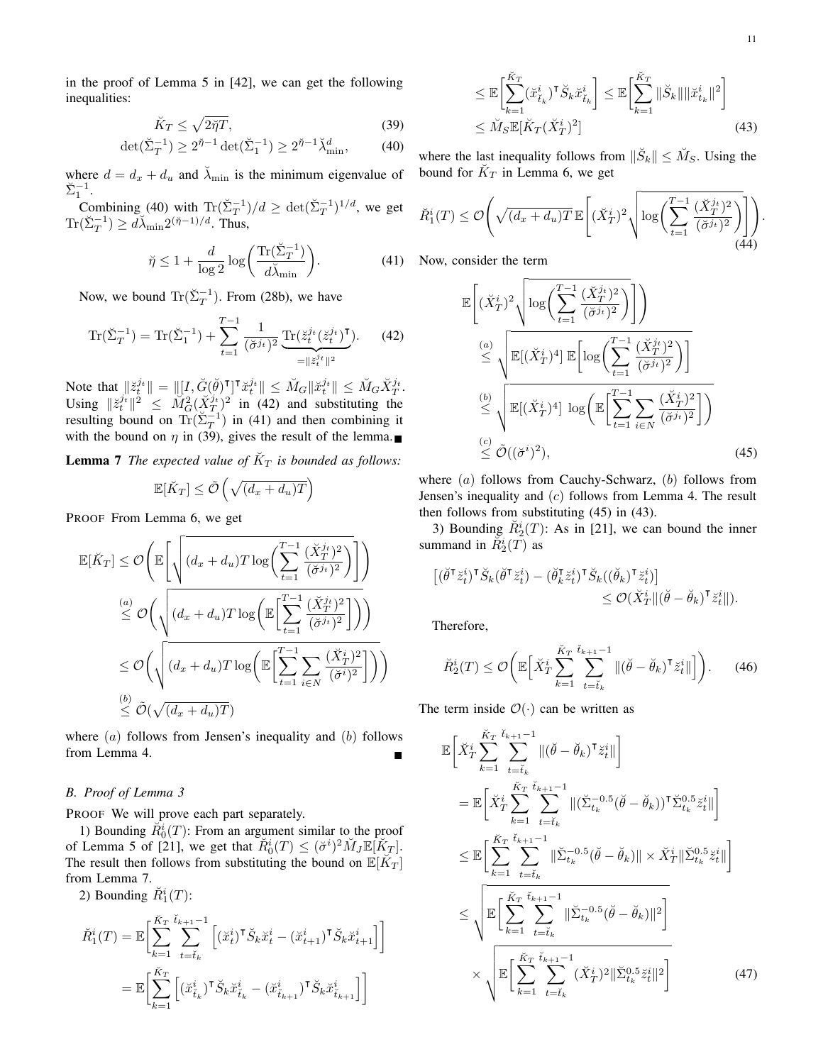in the proof of Lemma 5 in [42], we can get the following inequalities:

$$
\breve{K}_T \le \sqrt{2\breve{\eta}T},\tag{39}
$$

$$
\det(\check{\Sigma}_T^{-1}) \ge 2^{\check{\eta}-1} \det(\check{\Sigma}_1^{-1}) \ge 2^{\check{\eta}-1} \check{\lambda}_{\min}^d,\tag{40}
$$

where  $d = d_x + d_u$  and  $\lambda_{\min}$  is the minimum eigenvalue of  $\check{\Sigma}_1^{-1}$ .

Combining (40) with  $\text{Tr}(\Sigma_T^{-1})/d \geq \det(\Sigma_T^{-1})^{1/d}$ , we get  $\text{Tr}(\check{\Sigma}_T^{-1}) \ge d\check{\lambda}_{\min} 2^{(\check{\eta}-1)/d}$ . Thus,

$$
\breve{\eta} \le 1 + \frac{d}{\log 2} \log \left( \frac{\operatorname{Tr}(\breve{\Sigma}_T^{-1})}{d\breve{\lambda}_{\min}} \right). \tag{41}
$$

Now, we bound  $\text{Tr}(\check{\Sigma}_T^{-1})$ . From (28b), we have

$$
\operatorname{Tr}(\check{\Sigma}_T^{-1}) = \operatorname{Tr}(\check{\Sigma}_1^{-1}) + \sum_{t=1}^{T-1} \frac{1}{(\check{\sigma}^{j_t})^2} \underbrace{\operatorname{Tr}(\check{z}_t^{j_t}(\check{z}_t^{j_t})^{\mathsf{T}})}_{= \|\check{z}_t^{j_t}\|^2}.
$$
 (42)

Note that  $||\breve{z}_t^{j_t}|| = ||[I, \breve{G}(\breve{\theta})^{\intercal}]^{\intercal} \breve{x}_t^{j_t}|| \leq \breve{M}_G ||\breve{x}_t^{j_t}|| \leq \breve{M}_G \breve{X}_T^{j_t}.$ Using  $\|\breve{z}_t^{j_t}\|^2 \leq \widetilde{M}_G^2(\breve{X}_T^{j_t})^2$  in (42) and substituting the resulting bound on  $\text{Tr}(\check{\Sigma}_T^{-1})$  in (41) and then combining it with the bound on  $\eta$  in (39), gives the result of the lemma.

**Lemma 7** The expected value of  $\breve{K}_T$  is bounded as follows:

$$
\mathbb{E}[\breve{K}_T] \le \tilde{\mathcal{O}}\left(\sqrt{(d_x + d_u)T}\right)
$$

PROOF From Lemma 6, we get

$$
\mathbb{E}[\breve{K}_T] \leq \mathcal{O}\left(\mathbb{E}\left[\sqrt{(d_x + d_u)T\log\left(\sum_{t=1}^{T-1} \frac{(\breve{X}_T^{j_t})^2}{(\breve{\sigma}^{j_t})^2}\right)}\right]\right)
$$
  

$$
\leq \mathcal{O}\left(\sqrt{(d_x + d_u)T\log\left(\mathbb{E}\left[\sum_{t=1}^{T-1} \frac{(\breve{X}_T^{j_t})^2}{(\breve{\sigma}^{j_t})^2}\right] \right)}\right)
$$
  

$$
\leq \mathcal{O}\left(\sqrt{(d_x + d_u)T\log\left(\mathbb{E}\left[\sum_{t=1}^{T-1} \sum_{i \in N} \frac{(\breve{X}_T^{i_t})^2}{(\breve{\sigma}^{i_t})^2}\right] \right)}\right)
$$
  

$$
\leq \mathcal{O}(\sqrt{(d_x + d_u)T})
$$

where  $(a)$  follows from Jensen's inequality and  $(b)$  follows from Lemma 4.

## *B. Proof of Lemma 3*

PROOF We will prove each part separately.

1) Bounding  $\widetilde{R}_0^i(T)$ : From an argument similar to the proof of Lemma 5 of [21], we get that  $\tilde{R}_0^i(T) \leq (\check{\sigma}^i)^2 \check{M}_J \mathbb{E}[\check{K}_T].$ The result then follows from substituting the bound on  $\mathbb{E}[\breve{K}_T]$ from Lemma 7.

2) Bounding  $\check{R}_1^i(T)$ :

$$
\check{R}_{1}^{i}(T) = \mathbb{E}\bigg[\sum_{k=1}^{\check{K}_{T}} \sum_{t=\check{t}_{k}}^{\check{t}_{k+1}-1} \left[ (\check{x}_{t}^{i})^{\mathsf{T}} \check{S}_{k} \check{x}_{t}^{i} - (\check{x}_{t+1}^{i})^{\mathsf{T}} \check{S}_{k} \check{x}_{t+1}^{i} \right] \bigg]
$$
\n
$$
= \mathbb{E}\bigg[\sum_{k=1}^{\check{K}_{T}} \left[ (\check{x}_{\check{t}_{k}}^{i})^{\mathsf{T}} \check{S}_{k} \check{x}_{\check{t}_{k}}^{i} - (\check{x}_{\check{t}_{k+1}}^{i})^{\mathsf{T}} \check{S}_{k} \check{x}_{\check{t}_{k+1}}^{i} \right] \bigg]
$$

$$
\leq \mathbb{E}\bigg[\sum_{k=1}^{\tilde{K}_T} (\tilde{x}_{t_k}^i)^\mathsf{T} \tilde{S}_k \tilde{x}_{t_k}^i\bigg] \leq \mathbb{E}\bigg[\sum_{k=1}^{\tilde{K}_T} \|\tilde{S}_k\| \|\tilde{x}_{t_k}^i\|^2\bigg] \leq \breve{M}_S \mathbb{E}[\breve{K}_T (\breve{X}_T^i)^2] \tag{43}
$$

where the last inequality follows from  $\|\breve{S}_k\| \leq \breve{M}_S$ . Using the bound for  $\check{K}_T$  in Lemma 6, we get

$$
\check{R}_1^i(T) \le \mathcal{O}\left(\sqrt{(d_x + d_u)T} \mathbb{E}\left[ (\check{X}_T^i)^2 \sqrt{\log\left(\sum_{t=1}^{T-1} \frac{(\check{X}_T^{j_t})^2}{(\check{\sigma}^{j_t})^2}\right)}\right]\right).
$$
\n(44)

Now, consider the term

$$
\mathbb{E}\left[ (\check{X}_{T}^{i})^{2} \sqrt{\log\left(\sum_{t=1}^{T-1} \frac{(\check{X}_{T}^{j_{t}})^{2}}{(\check{\sigma}^{j_{t}})^{2}}\right)}\right]\right)
$$
\n
$$
\stackrel{(a)}{\leq} \sqrt{\mathbb{E}[(\check{X}_{T}^{i})^{4}] \mathbb{E}\left[\log\left(\sum_{t=1}^{T-1} \frac{(\check{X}_{T}^{j_{t}})^{2}}{(\check{\sigma}^{j_{t}})^{2}}\right)\right]}
$$
\n
$$
\stackrel{(b)}{\leq} \sqrt{\mathbb{E}[(\check{X}_{T}^{i})^{4}] \log\left(\mathbb{E}\left[\sum_{t=1}^{T-1} \sum_{i\in N} \frac{(\check{X}_{T}^{i})^{2}}{(\check{\sigma}^{j_{t}})^{2}}\right]\right)}
$$
\n
$$
\stackrel{(c)}{\leq} \tilde{\mathcal{O}}((\check{\sigma}^{i})^{2}),
$$
\n(45)

where  $(a)$  follows from Cauchy-Schwarz,  $(b)$  follows from Jensen's inequality and (c) follows from Lemma 4. The result then follows from substituting (45) in (43).

3) Bounding  $\check{R}_2^i(T)$ : As in [21], we can bound the inner summand in  $\tilde{R}^i_2(\tilde{T})$  as

$$
\begin{aligned} \left[ (\breve{\theta}^{\mathsf{T}} \breve{z}_{t}^{i})^{\mathsf{T}} \breve{S}_{k} (\breve{\theta}^{\mathsf{T}} \breve{z}_{t}^{i}) - (\breve{\theta}_{k}^{\mathsf{T}} \breve{z}_{t}^{i})^{\mathsf{T}} \breve{S}_{k} ((\breve{\theta}_{k})^{\mathsf{T}} \breve{z}_{t}^{i}) \right] &\leq \mathcal{O}(\breve{X}_{T}^{i} \| (\breve{\theta} - \breve{\theta}_{k})^{\mathsf{T}} \breve{z}_{t}^{i} \|). \end{aligned}
$$

Therefore,

$$
\breve{R}_{2}^{i}(T) \leq \mathcal{O}\bigg(\mathbb{E}\Big[\breve{X}_{T}^{i}\sum_{k=1}^{\breve{K}_{T}}\sum_{t=\breve{t}_{k}}^{\breve{t}_{k+1}-1}\|(\breve{\theta}-\breve{\theta}_{k})^{\mathsf{T}}\breve{z}_{t}^{i}\|\Big]\bigg). \qquad(46)
$$

The term inside  $\mathcal{O}(\cdot)$  can be written as

$$
\mathbb{E}\left[\check{X}_{T}^{i}\sum_{k=1}^{\check{K}_{T}}\sum_{t=\check{t}_{k}}^{t_{k+1}-1}\|(\check{\theta}-\check{\theta}_{k})^{\mathsf{T}}\check{z}_{t}^{i}\|\right]
$$
\n
$$
=\mathbb{E}\left[\check{X}_{T}^{i}\sum_{k=1}^{\check{K}_{T}}\sum_{t=\check{t}_{k}}^{t_{k+1}-1}\|(\check{\Sigma}_{t_{k}}^{-0.5}(\check{\theta}-\check{\theta}_{k}))^{\mathsf{T}}\check{\Sigma}_{t_{k}}^{0.5}\check{z}_{t}^{i}\|\right]
$$
\n
$$
\leq \mathbb{E}\left[\sum_{k=1}^{\check{K}_{T}}\sum_{t=\check{t}_{k}}^{t_{k+1}-1}\|\check{\Sigma}_{t_{k}}^{-0.5}(\check{\theta}-\check{\theta}_{k})\| \times \check{X}_{T}^{i}\|\check{\Sigma}_{t_{k}}^{0.5}\check{z}_{t}^{i}\|\right]
$$
\n
$$
\leq \sqrt{\mathbb{E}\left[\sum_{k=1}^{\check{K}_{T}}\sum_{t=\check{t}_{k}}^{t_{k+1}-1}\|\check{\Sigma}_{t_{k}}^{-0.5}(\check{\theta}-\check{\theta}_{k})\|^{2}\right]}
$$
\n
$$
\times \sqrt{\mathbb{E}\left[\sum_{k=1}^{\check{K}_{T}}\sum_{t=\check{t}_{k}}^{t_{k+1}-1}(\check{X}_{T}^{i})^{2}\|\check{\Sigma}_{t_{k}}^{0.5}\check{z}_{t}^{i}\|^{2}\right]}
$$
\n(47)